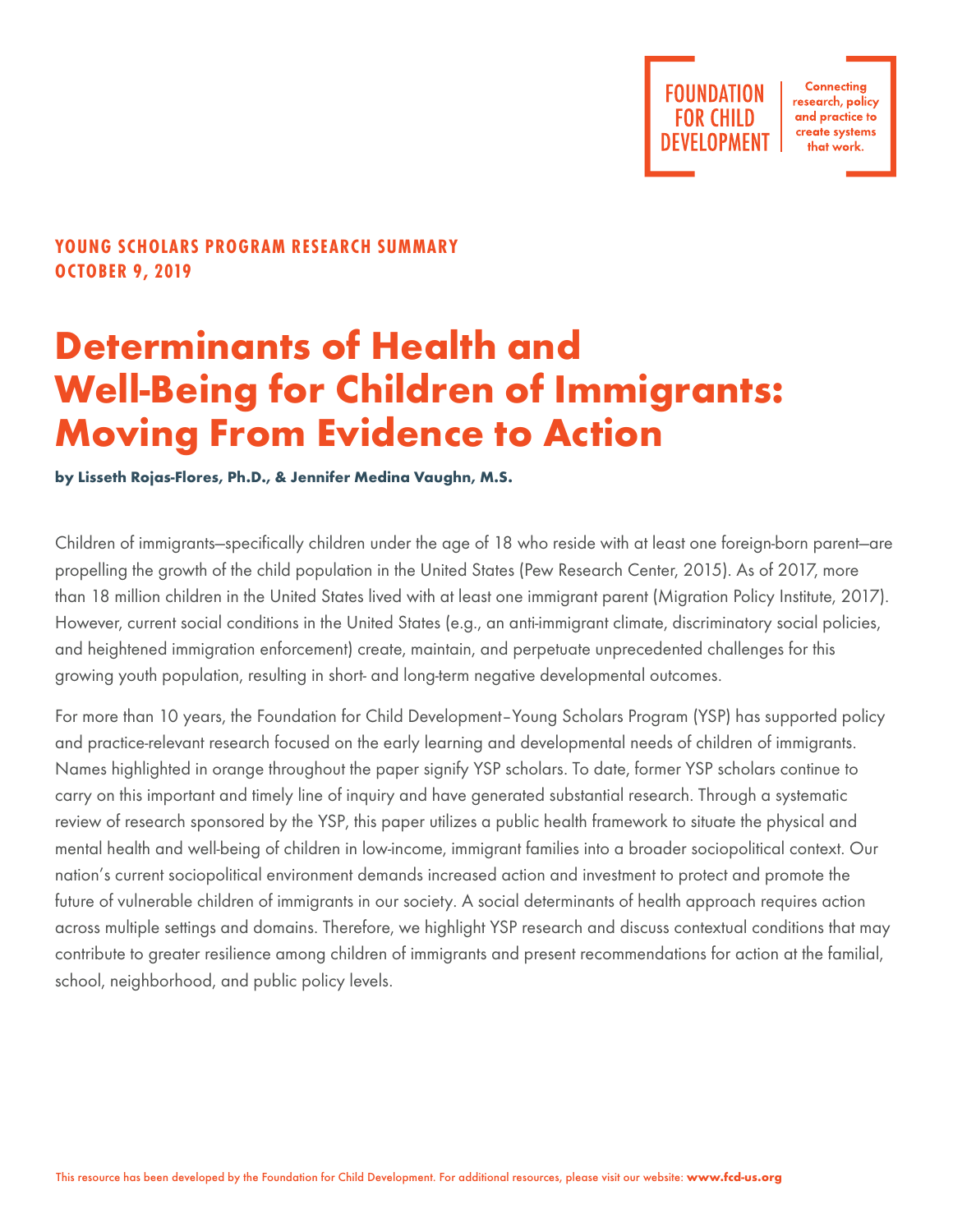**Connecting** research, policy and practice to create systems that work.

## **YOUNG SCHOLARS PROGRAM RESEARCH SUMMARY OCTOBER 9, 2019**

# **Determinants of Health and Well-Being for Children of Immigrants: Moving From Evidence to Action**

**by Lisseth Rojas-Flores, Ph.D., & Jennifer Medina Vaughn, M.S.**

Children of immigrants—specifically children under the age of 18 who reside with at least one foreign-born parent—are propelling the growth of the child population in the United States (Pew Research Center, 2015). As of 2017, more than 18 million children in the United States lived with at least one immigrant parent (Migration Policy Institute, 2017). However, current social conditions in the United States (e.g., an anti-immigrant climate, discriminatory social policies, and heightened immigration enforcement) create, maintain, and perpetuate unprecedented challenges for this growing youth population, resulting in short- and long-term negative developmental outcomes.

For more than 10 years, the Foundation for Child Development–Young Scholars Program (YSP) has supported policy and practice-relevant research focused on the early learning and developmental needs of children of immigrants. Names highlighted in orange throughout the paper signify YSP scholars. To date, former YSP scholars continue to carry on this important and timely line of inquiry and have generated substantial research. Through a systematic review of research sponsored by the YSP, this paper utilizes a public health framework to situate the physical and mental health and well-being of children in low-income, immigrant families into a broader sociopolitical context. Our nation's current sociopolitical environment demands increased action and investment to protect and promote the future of vulnerable children of immigrants in our society. A social determinants of health approach requires action across multiple settings and domains. Therefore, we highlight YSP research and discuss contextual conditions that may contribute to greater resilience among children of immigrants and present recommendations for action at the familial, school, neighborhood, and public policy levels.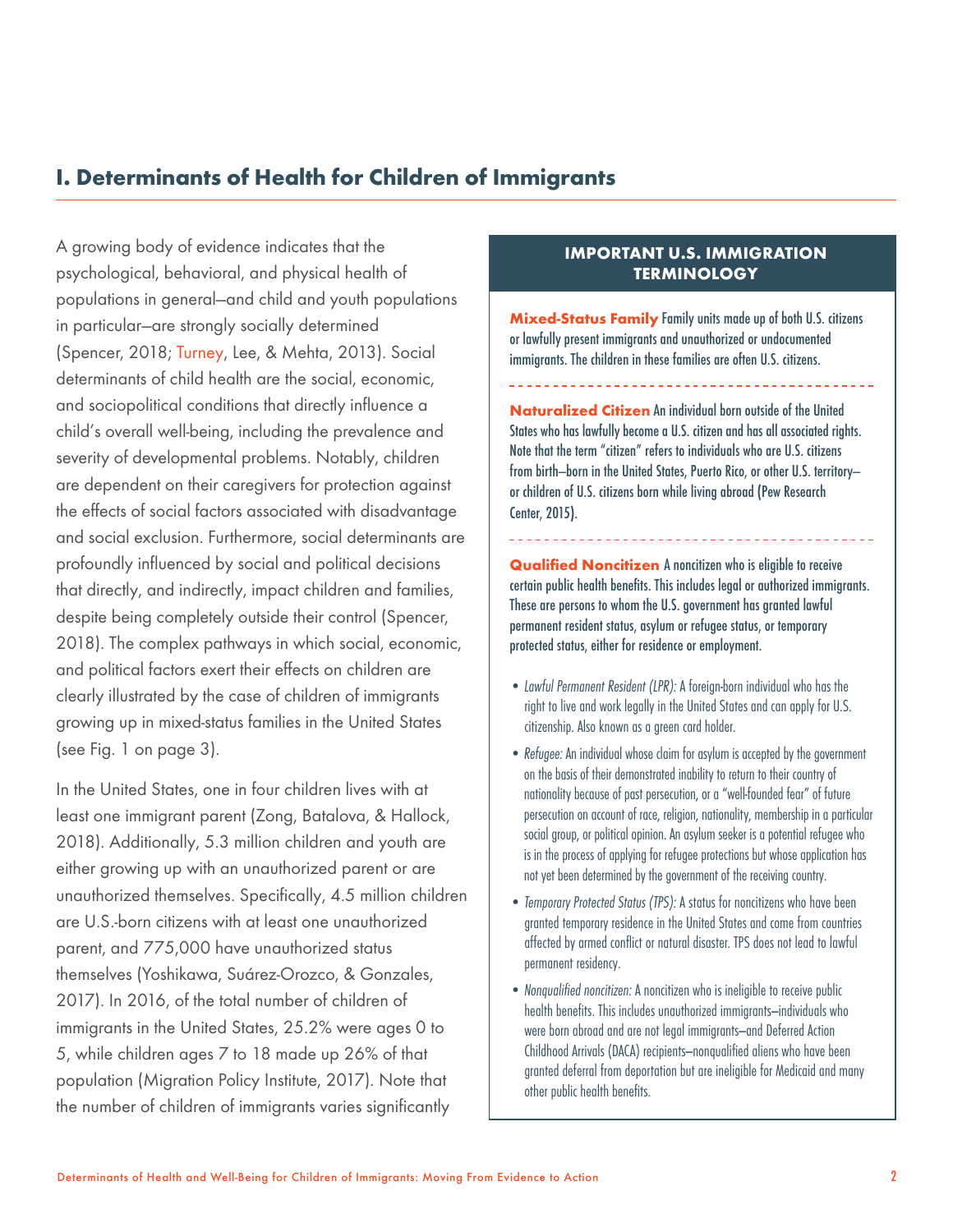# **I. Determinants of Health for Children of Immigrants**

A growing body of evidence indicates that the psychological, behavioral, and physical health of populations in general—and child and youth populations in particular—are strongly socially determined (Spencer, 2018; Turney, Lee, & Mehta, 2013). Social determinants of child health are the social, economic, and sociopolitical conditions that directly influence a child's overall well-being, including the prevalence and severity of developmental problems. Notably, children are dependent on their caregivers for protection against the effects of social factors associated with disadvantage and social exclusion. Furthermore, social determinants are profoundly influenced by social and political decisions that directly, and indirectly, impact children and families, despite being completely outside their control (Spencer, 2018). The complex pathways in which social, economic, and political factors exert their effects on children are clearly illustrated by the case of children of immigrants growing up in mixed-status families in the United States (see Fig. 1 on page 3).

In the United States, one in four children lives with at least one immigrant parent (Zong, Batalova, & Hallock, 2018). Additionally, 5.3 million children and youth are either growing up with an unauthorized parent or are unauthorized themselves. Specifically, 4.5 million children are U.S.-born citizens with at least one unauthorized parent, and 775,000 have unauthorized status themselves (Yoshikawa, Suárez-Orozco, & Gonzales, 2017). In 2016, of the total number of children of immigrants in the United States, 25.2% were ages 0 to 5, while children ages 7 to 18 made up 26% of that population (Migration Policy Institute, 2017). Note that the number of children of immigrants varies significantly

## **IMPORTANT U.S. IMMIGRATION TERMINOLOGY**

**Mixed-Status Family** Family units made up of both U.S. citizens or lawfully present immigrants and unauthorized or undocumented immigrants. The children in these families are often U.S. citizens.

**Naturalized Citizen** An individual born outside of the United States who has lawfully become a U.S. citizen and has all associated rights. Note that the term "citizen" refers to individuals who are U.S. citizens from birth—born in the United States, Puerto Rico, or other U.S. territory or children of U.S. citizens born while living abroad (Pew Research Center, 2015).

**Qualified Noncitizen** A noncitizen who is eligible to receive certain public health benefits. This includes legal or authorized immigrants. These are persons to whom the U.S. government has granted lawful permanent resident status, asylum or refugee status, or temporary protected status, either for residence or employment.

- *Lawful Permanent Resident (LPR):* A foreign-born individual who has the right to live and work legally in the United States and can apply for U.S. citizenship. Also known as a green card holder.
- *Refugee:* An individual whose claim for asylum is accepted by the government on the basis of their demonstrated inability to return to their country of nationality because of past persecution, or a "well-founded fear" of future persecution on account of race, religion, nationality, membership in a particular social group, or political opinion. An asylum seeker is a potential refugee who is in the process of applying for refugee protections but whose application has not yet been determined by the government of the receiving country.
- *Temporary Protected Status (TPS):* A status for noncitizens who have been granted temporary residence in the United States and come from countries affected by armed conflict or natural disaster. TPS does not lead to lawful permanent residency.
- *Nonqualified noncitizen:* A noncitizen who is ineligible to receive public health benefits. This includes unauthorized immigrants—individuals who were born abroad and are not legal immigrants—and Deferred Action Childhood Arrivals (DACA) recipients—nonqualified aliens who have been granted deferral from deportation but are ineligible for Medicaid and many other public health benefits.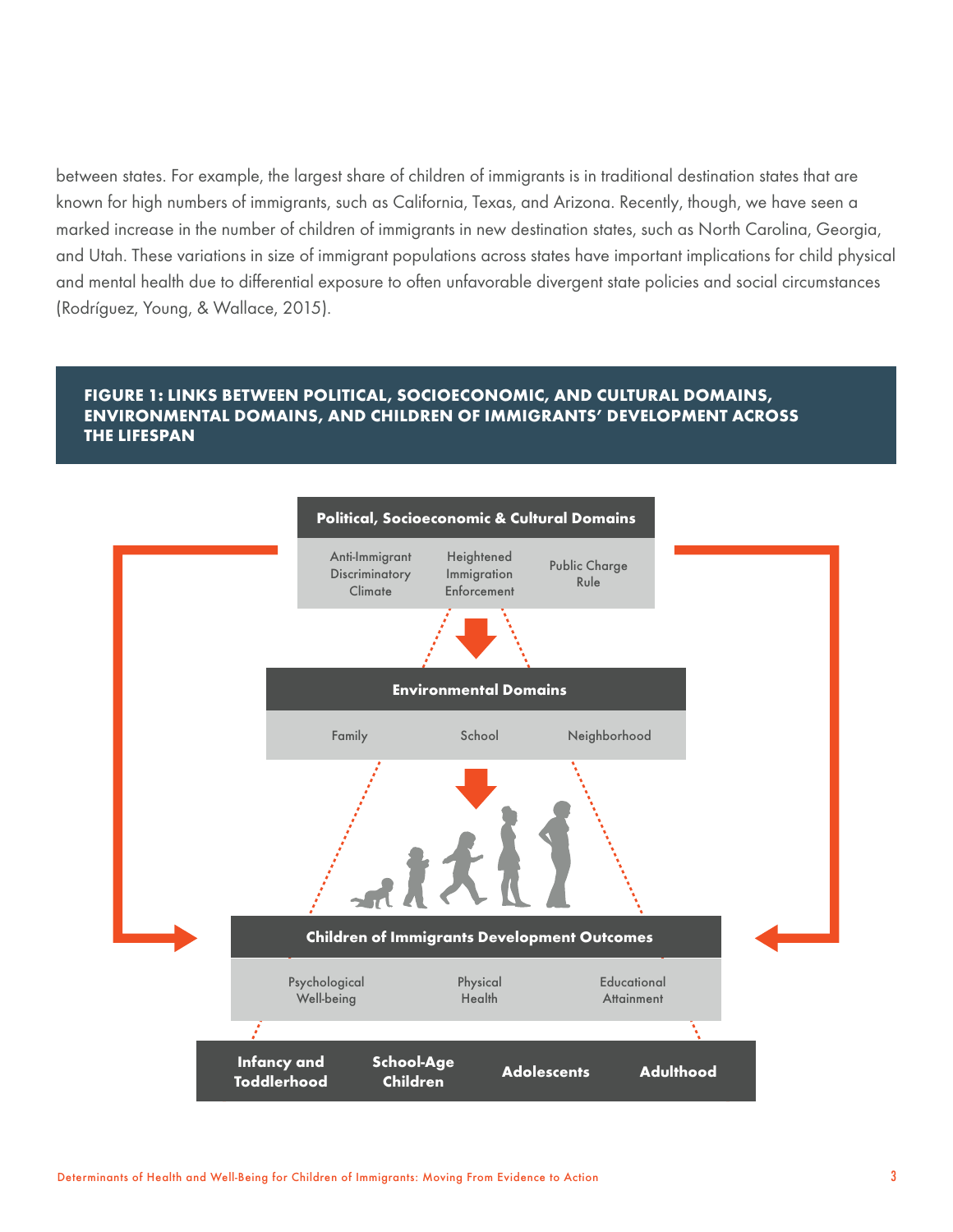between states. For example, the largest share of children of immigrants is in traditional destination states that are known for high numbers of immigrants, such as California, Texas, and Arizona. Recently, though, we have seen a marked increase in the number of children of immigrants in new destination states, such as North Carolina, Georgia, and Utah. These variations in size of immigrant populations across states have important implications for child physical and mental health due to differential exposure to often unfavorable divergent state policies and social circumstances (Rodríguez, Young, & Wallace, 2015).

## **FIGURE 1: LINKS BETWEEN POLITICAL, SOCIOECONOMIC, AND CULTURAL DOMAINS, ENVIRONMENTAL DOMAINS, AND CHILDREN OF IMMIGRANTS' DEVELOPMENT ACROSS THE LIFESPAN**

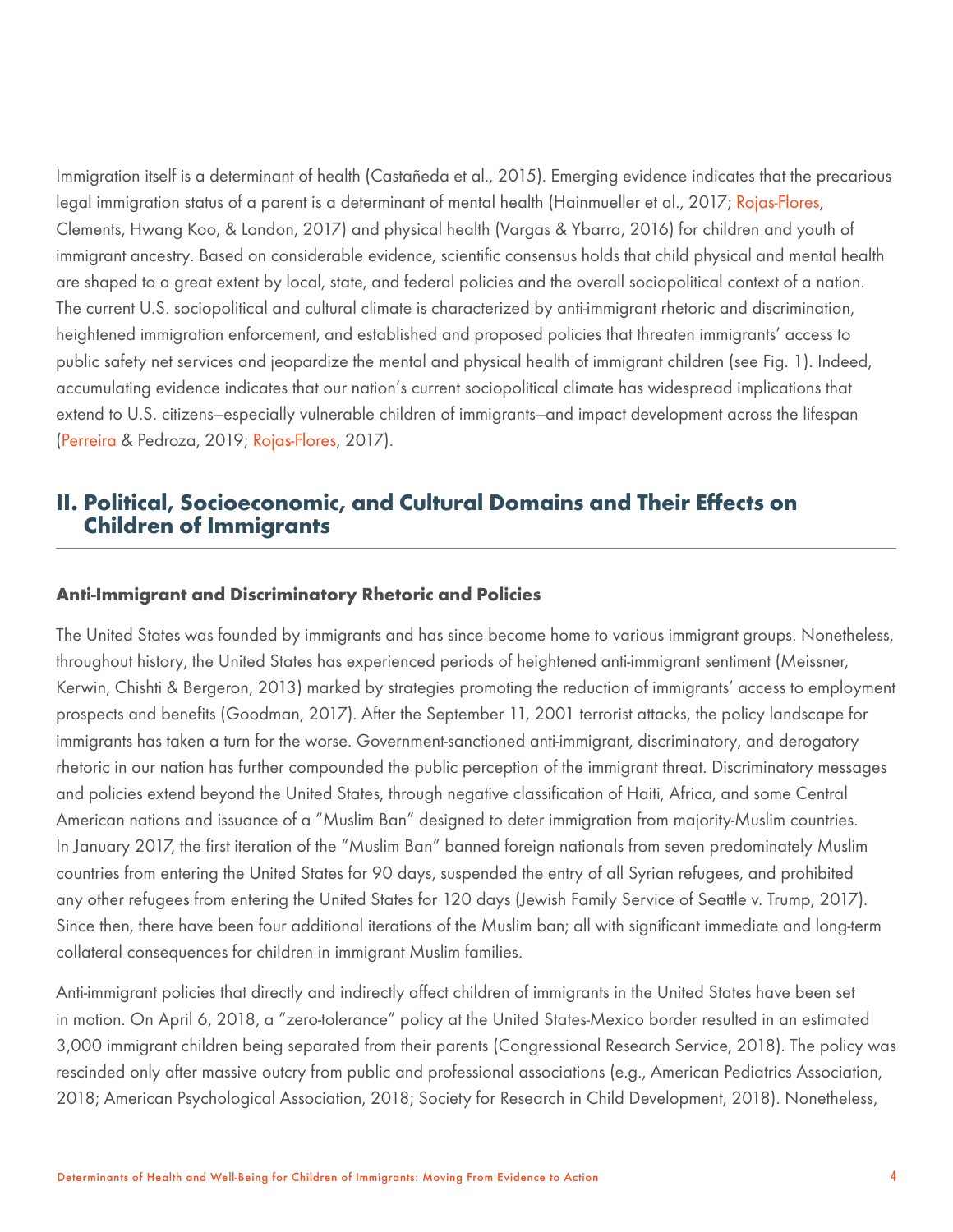Immigration itself is a determinant of health (Castañeda et al., 2015). Emerging evidence indicates that the precarious legal immigration status of a parent is a determinant of mental health (Hainmueller et al., 2017; Rojas-Flores, Clements, Hwang Koo, & London, 2017) and physical health (Vargas & Ybarra, 2016) for children and youth of immigrant ancestry. Based on considerable evidence, scientific consensus holds that child physical and mental health are shaped to a great extent by local, state, and federal policies and the overall sociopolitical context of a nation. The current U.S. sociopolitical and cultural climate is characterized by anti-immigrant rhetoric and discrimination, heightened immigration enforcement, and established and proposed policies that threaten immigrants' access to public safety net services and jeopardize the mental and physical health of immigrant children (see Fig. 1). Indeed, accumulating evidence indicates that our nation's current sociopolitical climate has widespread implications that extend to U.S. citizens—especially vulnerable children of immigrants—and impact development across the lifespan (Perreira & Pedroza, 2019; Rojas-Flores, 2017).

## **II. Political, Socioeconomic, and Cultural Domains and Their Effects on Children of Immigrants**

#### **Anti-Immigrant and Discriminatory Rhetoric and Policies**

The United States was founded by immigrants and has since become home to various immigrant groups. Nonetheless, throughout history, the United States has experienced periods of heightened anti-immigrant sentiment (Meissner, Kerwin, Chishti & Bergeron, 2013) marked by strategies promoting the reduction of immigrants' access to employment prospects and benefits (Goodman, 2017). After the September 11, 2001 terrorist attacks, the policy landscape for immigrants has taken a turn for the worse. Government-sanctioned anti-immigrant, discriminatory, and derogatory rhetoric in our nation has further compounded the public perception of the immigrant threat. Discriminatory messages and policies extend beyond the United States, through negative classification of Haiti, Africa, and some Central American nations and issuance of a "Muslim Ban" designed to deter immigration from majority-Muslim countries. In January 2017, the first iteration of the "Muslim Ban" banned foreign nationals from seven predominately Muslim countries from entering the United States for 90 days, suspended the entry of all Syrian refugees, and prohibited any other refugees from entering the United States for 120 days (Jewish Family Service of Seattle v. Trump, 2017). Since then, there have been four additional iterations of the Muslim ban; all with significant immediate and long-term collateral consequences for children in immigrant Muslim families.

Anti-immigrant policies that directly and indirectly affect children of immigrants in the United States have been set in motion. On April 6, 2018, a "zero-tolerance" policy at the United States-Mexico border resulted in an estimated 3,000 immigrant children being separated from their parents (Congressional Research Service, 2018). The policy was rescinded only after massive outcry from public and professional associations (e.g., American Pediatrics Association, 2018; American Psychological Association, 2018; Society for Research in Child Development, 2018). Nonetheless,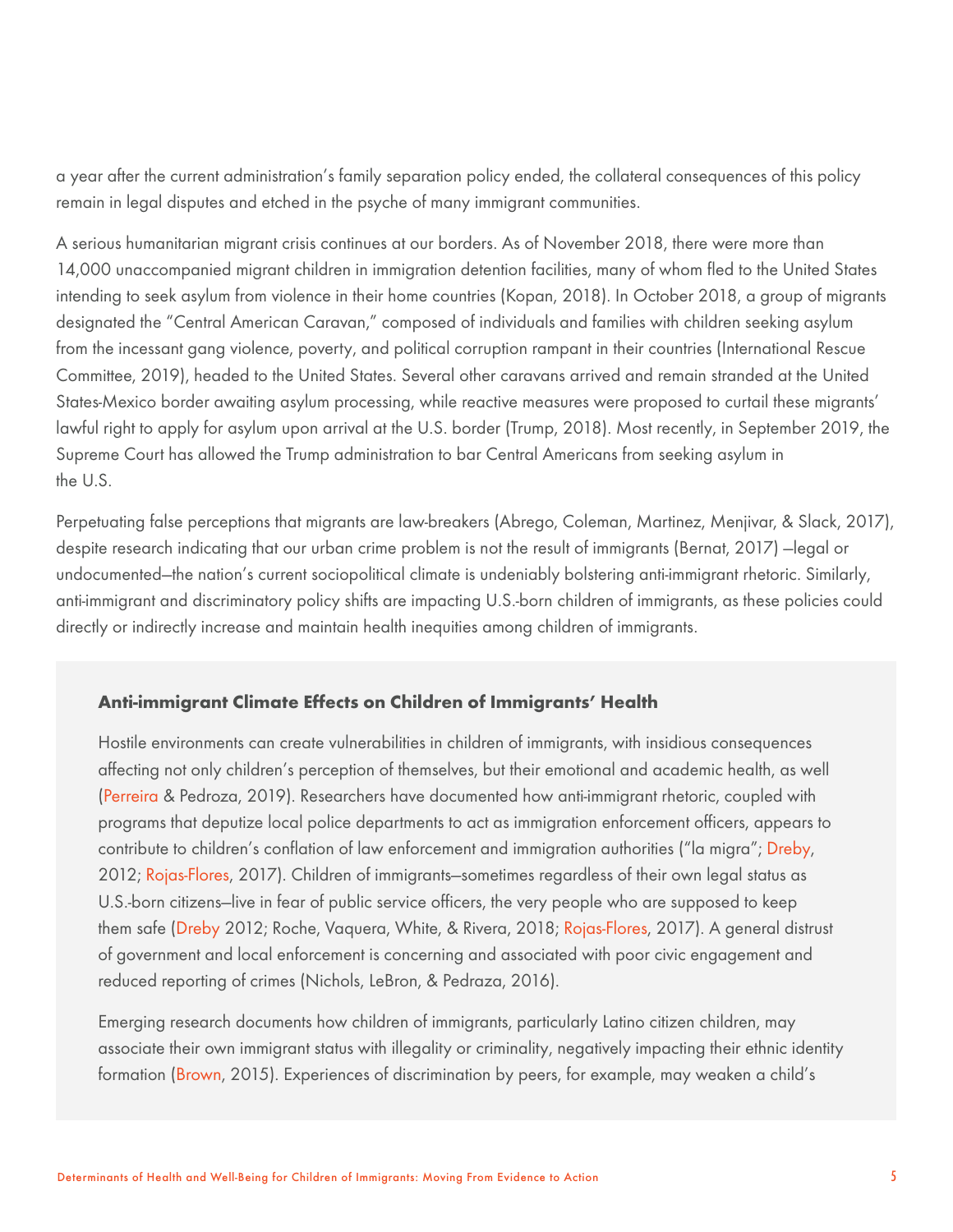a year after the current administration's family separation policy ended, the collateral consequences of this policy remain in legal disputes and etched in the psyche of many immigrant communities.

A serious humanitarian migrant crisis continues at our borders. As of November 2018, there were more than 14,000 unaccompanied migrant children in immigration detention facilities, many of whom fled to the United States intending to seek asylum from violence in their home countries (Kopan, 2018). In October 2018, a group of migrants designated the "Central American Caravan," composed of individuals and families with children seeking asylum from the incessant gang violence, poverty, and political corruption rampant in their countries (International Rescue Committee, 2019), headed to the United States. Several other caravans arrived and remain stranded at the United States-Mexico border awaiting asylum processing, while reactive measures were proposed to curtail these migrants' lawful right to apply for asylum upon arrival at the U.S. border (Trump, 2018). Most recently, in September 2019, the Supreme Court has allowed the Trump administration to bar Central Americans from seeking asylum in the U.S.

Perpetuating false perceptions that migrants are law-breakers (Abrego, Coleman, Martinez, Menjivar, & Slack, 2017), despite research indicating that our urban crime problem is not the result of immigrants (Bernat, 2017) —legal or undocumented—the nation's current sociopolitical climate is undeniably bolstering anti-immigrant rhetoric. Similarly, anti-immigrant and discriminatory policy shifts are impacting U.S.-born children of immigrants, as these policies could directly or indirectly increase and maintain health inequities among children of immigrants.

## **Anti-immigrant Climate Effects on Children of Immigrants' Health**

Hostile environments can create vulnerabilities in children of immigrants, with insidious consequences affecting not only children's perception of themselves, but their emotional and academic health, as well (Perreira & Pedroza, 2019). Researchers have documented how anti-immigrant rhetoric, coupled with programs that deputize local police departments to act as immigration enforcement officers, appears to contribute to children's conflation of law enforcement and immigration authorities ("la migra"; Dreby, 2012; Rojas-Flores, 2017). Children of immigrants-sometimes regardless of their own legal status as U.S.-born citizens—live in fear of public service officers, the very people who are supposed to keep them safe (Dreby 2012; Roche, Vaquera, White, & Rivera, 2018; Rojas-Flores, 2017). A general distrust of government and local enforcement is concerning and associated with poor civic engagement and reduced reporting of crimes (Nichols, LeBron, & Pedraza, 2016).

Emerging research documents how children of immigrants, particularly Latino citizen children, may associate their own immigrant status with illegality or criminality, negatively impacting their ethnic identity formation (Brown, 2015). Experiences of discrimination by peers, for example, may weaken a child's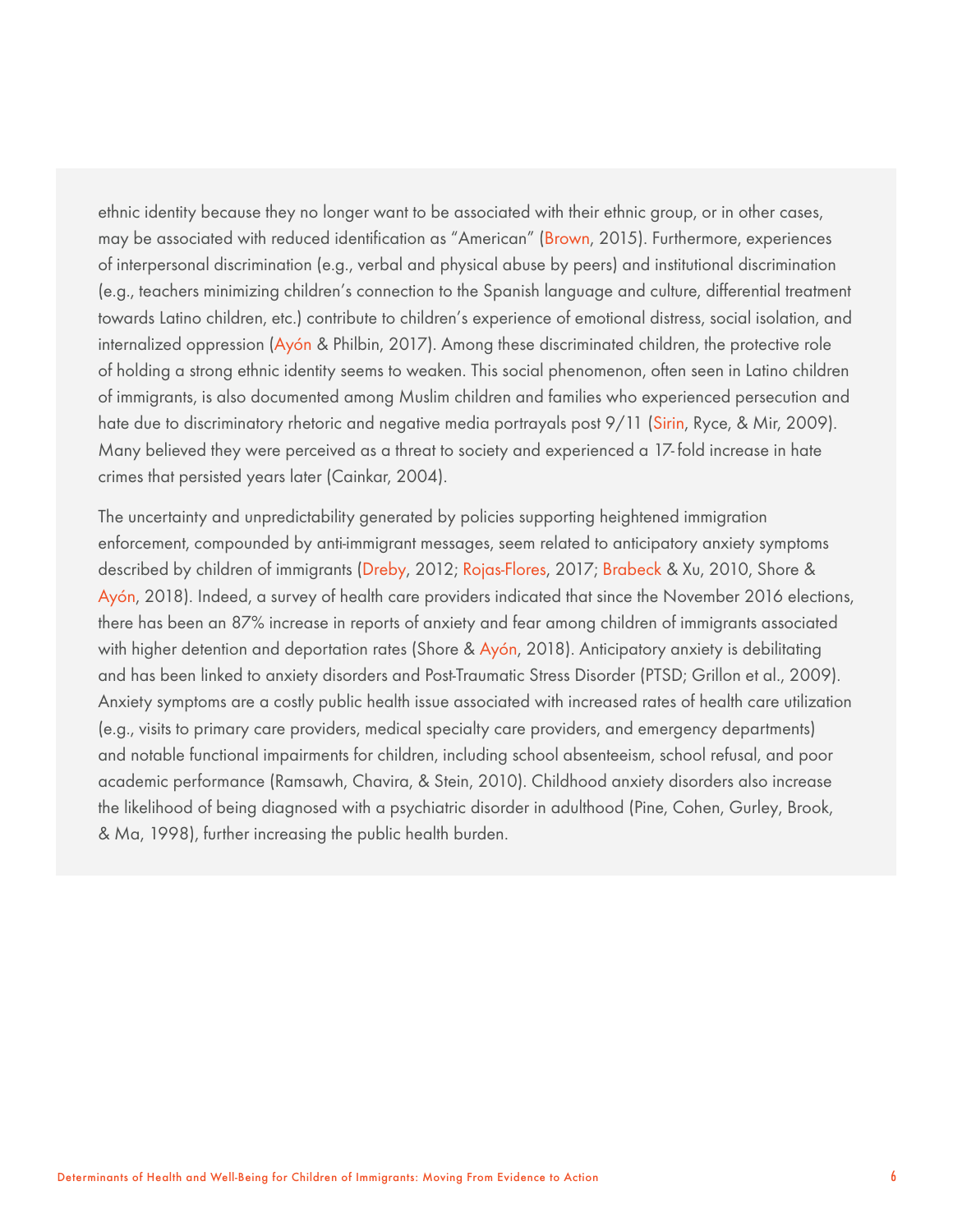ethnic identity because they no longer want to be associated with their ethnic group, or in other cases, may be associated with reduced identification as "American" (Brown, 2015). Furthermore, experiences of interpersonal discrimination (e.g., verbal and physical abuse by peers) and institutional discrimination (e.g., teachers minimizing children's connection to the Spanish language and culture, differential treatment towards Latino children, etc.) contribute to children's experience of emotional distress, social isolation, and internalized oppression (Ayón & Philbin, 2017). Among these discriminated children, the protective role of holding a strong ethnic identity seems to weaken. This social phenomenon, often seen in Latino children of immigrants, is also documented among Muslim children and families who experienced persecution and hate due to discriminatory rhetoric and negative media portrayals post 9/11 (Sirin, Ryce, & Mir, 2009). Many believed they were perceived as a threat to society and experienced a 17- fold increase in hate crimes that persisted years later (Cainkar, 2004).

The uncertainty and unpredictability generated by policies supporting heightened immigration enforcement, compounded by anti-immigrant messages, seem related to anticipatory anxiety symptoms described by children of immigrants (Dreby, 2012; Rojas-Flores, 2017; Brabeck & Xu, 2010, Shore & Ayón, 2018). Indeed, a survey of health care providers indicated that since the November 2016 elections, there has been an 87% increase in reports of anxiety and fear among children of immigrants associated with higher detention and deportation rates (Shore & Ayón, 2018). Anticipatory anxiety is debilitating and has been linked to anxiety disorders and Post-Traumatic Stress Disorder (PTSD; Grillon et al., 2009). Anxiety symptoms are a costly public health issue associated with increased rates of health care utilization (e.g., visits to primary care providers, medical specialty care providers, and emergency departments) and notable functional impairments for children, including school absenteeism, school refusal, and poor academic performance (Ramsawh, Chavira, & Stein, 2010). Childhood anxiety disorders also increase the likelihood of being diagnosed with a psychiatric disorder in adulthood (Pine, Cohen, Gurley, Brook, & Ma, 1998), further increasing the public health burden.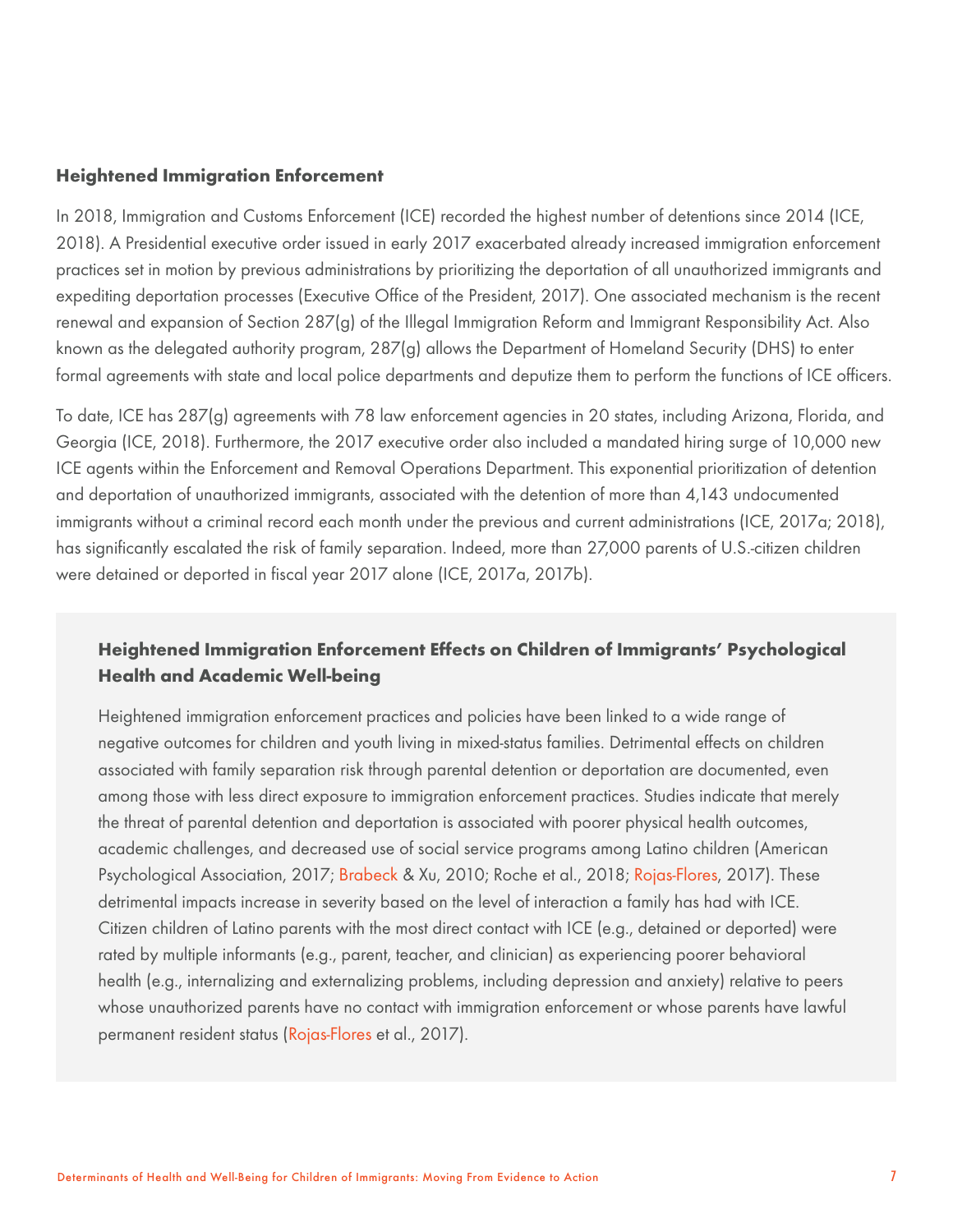#### **Heightened Immigration Enforcement**

In 2018, Immigration and Customs Enforcement (ICE) recorded the highest number of detentions since 2014 (ICE, 2018). A Presidential executive order issued in early 2017 exacerbated already increased immigration enforcement practices set in motion by previous administrations by prioritizing the deportation of all unauthorized immigrants and expediting deportation processes (Executive Office of the President, 2017). One associated mechanism is the recent renewal and expansion of Section 287(g) of the Illegal Immigration Reform and Immigrant Responsibility Act. Also known as the delegated authority program, 287(g) allows the Department of Homeland Security (DHS) to enter formal agreements with state and local police departments and deputize them to perform the functions of ICE officers.

To date, ICE has 287(g) agreements with 78 law enforcement agencies in 20 states, including Arizona, Florida, and Georgia (ICE, 2018). Furthermore, the 2017 executive order also included a mandated hiring surge of 10,000 new ICE agents within the Enforcement and Removal Operations Department. This exponential prioritization of detention and deportation of unauthorized immigrants, associated with the detention of more than 4,143 undocumented immigrants without a criminal record each month under the previous and current administrations (ICE, 2017a; 2018), has significantly escalated the risk of family separation. Indeed, more than 27,000 parents of U.S.-citizen children were detained or deported in fiscal year 2017 alone (ICE, 2017a, 2017b).

## **Heightened Immigration Enforcement Effects on Children of Immigrants' Psychological Health and Academic Well-being**

Heightened immigration enforcement practices and policies have been linked to a wide range of negative outcomes for children and youth living in mixed-status families. Detrimental effects on children associated with family separation risk through parental detention or deportation are documented, even among those with less direct exposure to immigration enforcement practices. Studies indicate that merely the threat of parental detention and deportation is associated with poorer physical health outcomes, academic challenges, and decreased use of social service programs among Latino children (American Psychological Association, 2017; Brabeck & Xu, 2010; Roche et al., 2018; Rojas-Flores, 2017). These detrimental impacts increase in severity based on the level of interaction a family has had with ICE. Citizen children of Latino parents with the most direct contact with ICE (e.g., detained or deported) were rated by multiple informants (e.g., parent, teacher, and clinician) as experiencing poorer behavioral health (e.g., internalizing and externalizing problems, including depression and anxiety) relative to peers whose unauthorized parents have no contact with immigration enforcement or whose parents have lawful permanent resident status (Rojas-Flores et al., 2017).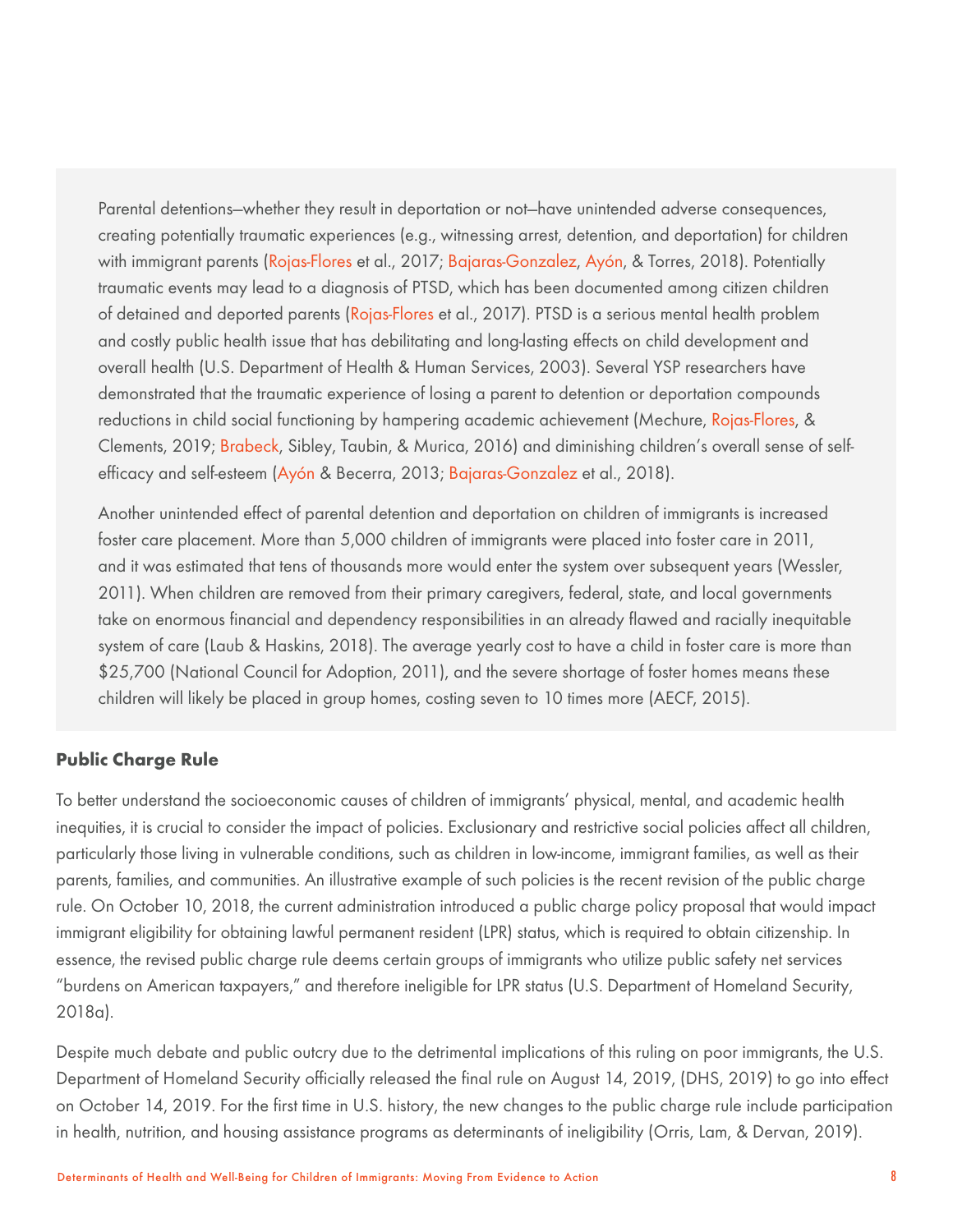Parental detentions—whether they result in deportation or not—have unintended adverse consequences, creating potentially traumatic experiences (e.g., witnessing arrest, detention, and deportation) for children with immigrant parents (Rojas-Flores et al., 2017; Bajaras-Gonzalez, Ayón, & Torres, 2018). Potentially traumatic events may lead to a diagnosis of PTSD, which has been documented among citizen children of detained and deported parents (Rojas-Flores et al., 2017). PTSD is a serious mental health problem and costly public health issue that has debilitating and long-lasting effects on child development and overall health (U.S. Department of Health & Human Services, 2003). Several YSP researchers have demonstrated that the traumatic experience of losing a parent to detention or deportation compounds reductions in child social functioning by hampering academic achievement (Mechure, Rojas-Flores, & Clements, 2019; Brabeck, Sibley, Taubin, & Murica, 2016) and diminishing children's overall sense of selfefficacy and self-esteem (Ayón & Becerra, 2013; Bajaras-Gonzalez et al., 2018).

Another unintended effect of parental detention and deportation on children of immigrants is increased foster care placement. More than 5,000 children of immigrants were placed into foster care in 2011, and it was estimated that tens of thousands more would enter the system over subsequent years (Wessler, 2011). When children are removed from their primary caregivers, federal, state, and local governments take on enormous financial and dependency responsibilities in an already flawed and racially inequitable system of care (Laub & Haskins, 2018). The average yearly cost to have a child in foster care is more than \$25,700 (National Council for Adoption, 2011), and the severe shortage of foster homes means these children will likely be placed in group homes, costing seven to 10 times more (AECF, 2015).

## **Public Charge Rule**

To better understand the socioeconomic causes of children of immigrants' physical, mental, and academic health inequities, it is crucial to consider the impact of policies. Exclusionary and restrictive social policies affect all children, particularly those living in vulnerable conditions, such as children in low-income, immigrant families, as well as their parents, families, and communities. An illustrative example of such policies is the recent revision of the public charge rule. On October 10, 2018, the current administration introduced a public charge policy proposal that would impact immigrant eligibility for obtaining lawful permanent resident (LPR) status, which is required to obtain citizenship. In essence, the revised public charge rule deems certain groups of immigrants who utilize public safety net services "burdens on American taxpayers," and therefore ineligible for LPR status (U.S. Department of Homeland Security, 2018a).

Despite much debate and public outcry due to the detrimental implications of this ruling on poor immigrants, the U.S. Department of Homeland Security officially released the final rule on August 14, 2019, (DHS, 2019) to go into effect on October 14, 2019. For the first time in U.S. history, the new changes to the public charge rule include participation in health, nutrition, and housing assistance programs as determinants of ineligibility (Orris, Lam, & Dervan, 2019).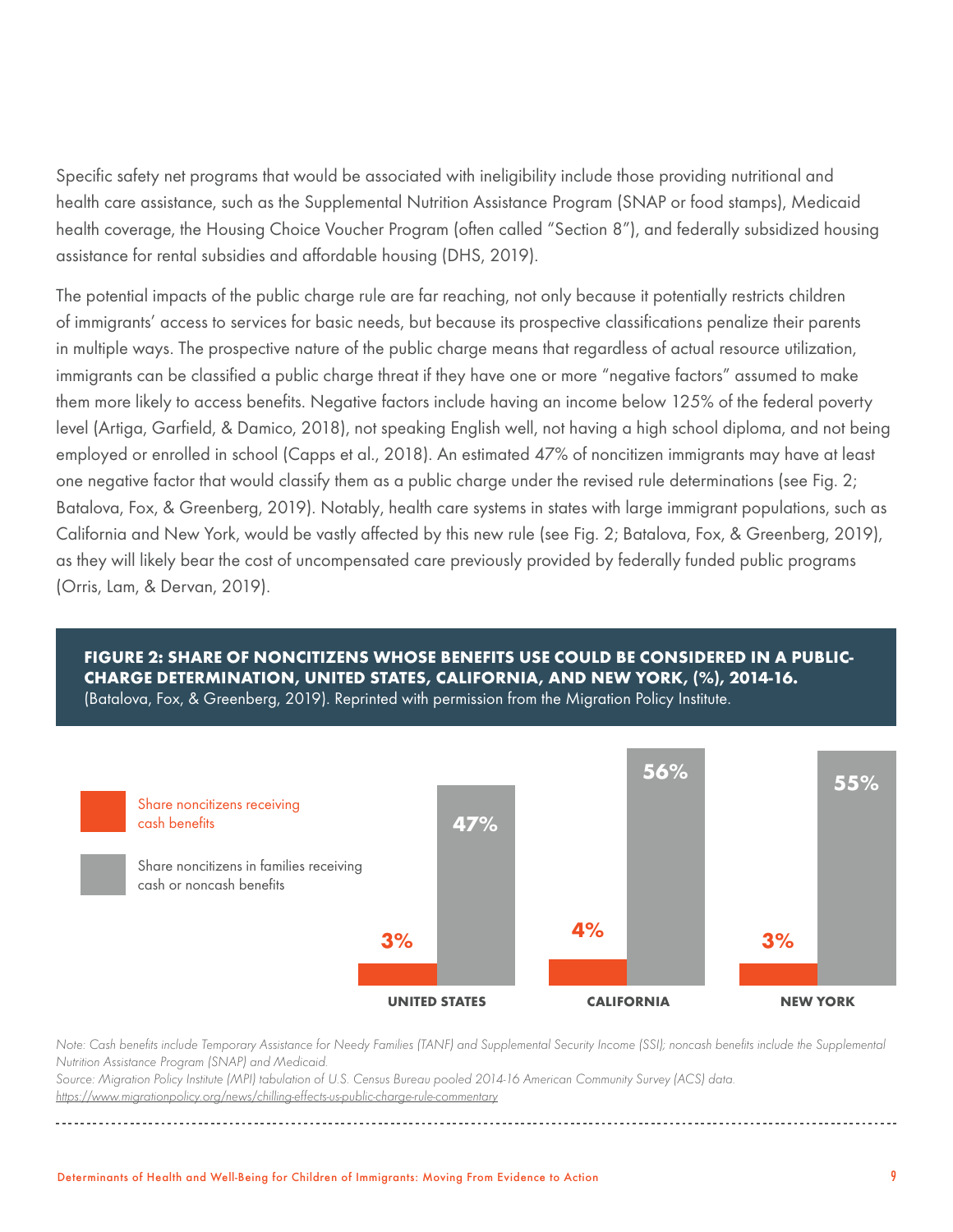Specific safety net programs that would be associated with ineligibility include those providing nutritional and health care assistance, such as the Supplemental Nutrition Assistance Program (SNAP or food stamps), Medicaid health coverage, the Housing Choice Voucher Program (often called "Section 8"), and federally subsidized housing assistance for rental subsidies and affordable housing (DHS, 2019).

The potential impacts of the public charge rule are far reaching, not only because it potentially restricts children of immigrants' access to services for basic needs, but because its prospective classifications penalize their parents in multiple ways. The prospective nature of the public charge means that regardless of actual resource utilization, immigrants can be classified a public charge threat if they have one or more "negative factors" assumed to make them more likely to access benefits. Negative factors include having an income below 125% of the federal poverty level (Artiga, Garfield, & Damico, 2018), not speaking English well, not having a high school diploma, and not being employed or enrolled in school (Capps et al., 2018). An estimated 47% of noncitizen immigrants may have at least one negative factor that would classify them as a public charge under the revised rule determinations (see Fig. 2; Batalova, Fox, & Greenberg, 2019). Notably, health care systems in states with large immigrant populations, such as California and New York, would be vastly affected by this new rule (see Fig. 2; Batalova, Fox, & Greenberg, 2019), as they will likely bear the cost of uncompensated care previously provided by federally funded public programs (Orris, Lam, & Dervan, 2019).

#### **FIGURE 2: SHARE OF NONCITIZENS WHOSE BENEFITS USE COULD BE CONSIDERED IN A PUBLIC-CHARGE DETERMINATION, UNITED STATES, CALIFORNIA, AND NEW YORK, (%), 2014-16.**  (Batalova, Fox, & Greenberg, 2019). Reprinted with permission from the Migration Policy Institute.



*Note: Cash benefits include Temporary Assistance for Needy Families (TANF) and Supplemental Security Income (SSI); noncash benefits include the Supplemental Nutrition Assistance Program (SNAP) and Medicaid.*

*Source: Migration Policy Institute (MPI) tabulation of U.S. Census Bureau pooled 2014-16 American Community Survey (ACS) data. <https://www.migrationpolicy.org/news/chilling-effects-us-public-charge-rule-commentary>*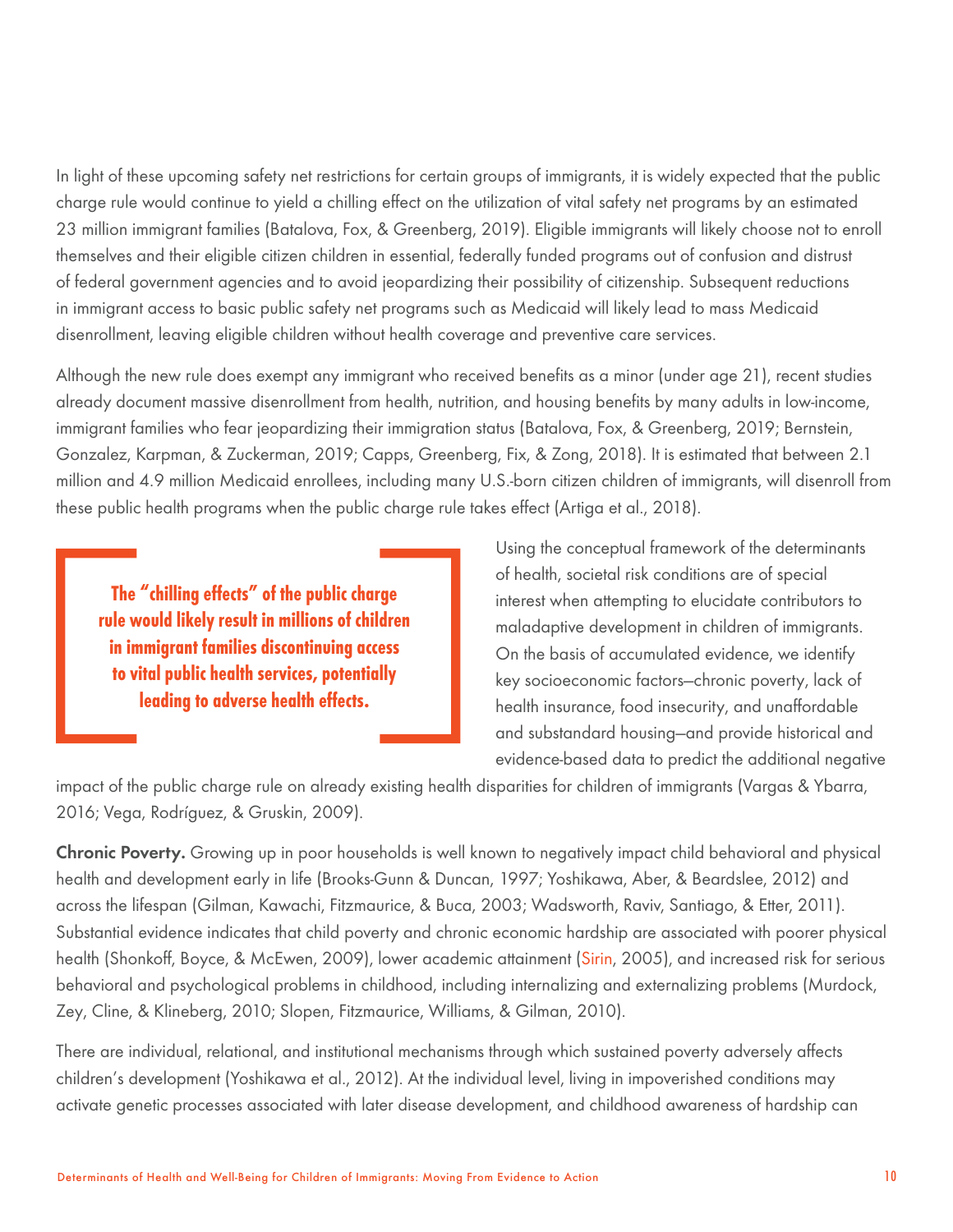In light of these upcoming safety net restrictions for certain groups of immigrants, it is widely expected that the public charge rule would continue to yield a chilling effect on the utilization of vital safety net programs by an estimated 23 million immigrant families (Batalova, Fox, & Greenberg, 2019). Eligible immigrants will likely choose not to enroll themselves and their eligible citizen children in essential, federally funded programs out of confusion and distrust of federal government agencies and to avoid jeopardizing their possibility of citizenship. Subsequent reductions in immigrant access to basic public safety net programs such as Medicaid will likely lead to mass Medicaid disenrollment, leaving eligible children without health coverage and preventive care services.

Although the new rule does exempt any immigrant who received benefits as a minor (under age 21), recent studies already document massive disenrollment from health, nutrition, and housing benefits by many adults in low-income, immigrant families who fear jeopardizing their immigration status (Batalova, Fox, & Greenberg, 2019; Bernstein, Gonzalez, Karpman, & Zuckerman, 2019; Capps, Greenberg, Fix, & Zong, 2018). It is estimated that between 2.1 million and 4.9 million Medicaid enrollees, including many U.S.-born citizen children of immigrants, will disenroll from these public health programs when the public charge rule takes effect (Artiga et al., 2018).

**The "chilling effects" of the public charge rule would likely result in millions of children in immigrant families discontinuing access to vital public health services, potentially leading to adverse health effects.**

Using the conceptual framework of the determinants of health, societal risk conditions are of special interest when attempting to elucidate contributors to maladaptive development in children of immigrants. On the basis of accumulated evidence, we identify key socioeconomic factors—chronic poverty, lack of health insurance, food insecurity, and unaffordable and substandard housing—and provide historical and evidence-based data to predict the additional negative

impact of the public charge rule on already existing health disparities for children of immigrants (Vargas & Ybarra, 2016; Vega, Rodríguez, & Gruskin, 2009).

Chronic Poverty. Growing up in poor households is well known to negatively impact child behavioral and physical health and development early in life (Brooks-Gunn & Duncan, 1997; Yoshikawa, Aber, & Beardslee, 2012) and across the lifespan (Gilman, Kawachi, Fitzmaurice, & Buca, 2003; Wadsworth, Raviv, Santiago, & Etter, 2011). Substantial evidence indicates that child poverty and chronic economic hardship are associated with poorer physical health (Shonkoff, Boyce, & McEwen, 2009), lower academic attainment (Sirin, 2005), and increased risk for serious behavioral and psychological problems in childhood, including internalizing and externalizing problems (Murdock, Zey, Cline, & Klineberg, 2010; Slopen, Fitzmaurice, Williams, & Gilman, 2010).

There are individual, relational, and institutional mechanisms through which sustained poverty adversely affects children's development (Yoshikawa et al., 2012). At the individual level, living in impoverished conditions may activate genetic processes associated with later disease development, and childhood awareness of hardship can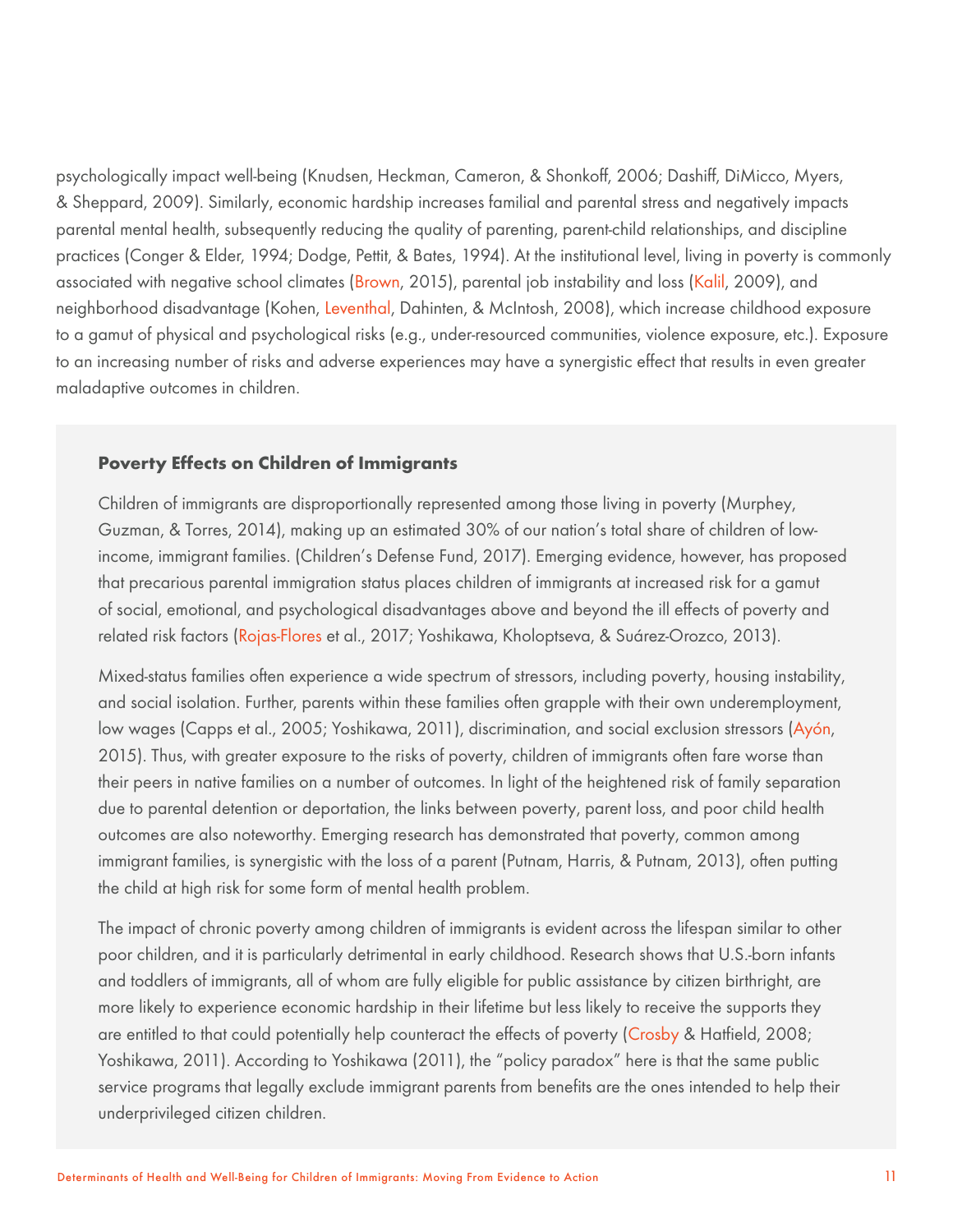psychologically impact well-being (Knudsen, Heckman, Cameron, & Shonkoff, 2006; Dashiff, DiMicco, Myers, & Sheppard, 2009). Similarly, economic hardship increases familial and parental stress and negatively impacts parental mental health, subsequently reducing the quality of parenting, parent-child relationships, and discipline practices (Conger & Elder, 1994; Dodge, Pettit, & Bates, 1994). At the institutional level, living in poverty is commonly associated with negative school climates (Brown, 2015), parental job instability and loss (Kalil, 2009), and neighborhood disadvantage (Kohen, Leventhal, Dahinten, & McIntosh, 2008), which increase childhood exposure to a gamut of physical and psychological risks (e.g., under-resourced communities, violence exposure, etc.). Exposure to an increasing number of risks and adverse experiences may have a synergistic effect that results in even greater maladaptive outcomes in children.

#### **Poverty Effects on Children of Immigrants**

Children of immigrants are disproportionally represented among those living in poverty (Murphey, Guzman, & Torres, 2014), making up an estimated 30% of our nation's total share of children of lowincome, immigrant families. (Children's Defense Fund, 2017). Emerging evidence, however, has proposed that precarious parental immigration status places children of immigrants at increased risk for a gamut of social, emotional, and psychological disadvantages above and beyond the ill effects of poverty and related risk factors (Rojas-Flores et al., 2017; Yoshikawa, Kholoptseva, & Suárez-Orozco, 2013).

Mixed-status families often experience a wide spectrum of stressors, including poverty, housing instability, and social isolation. Further, parents within these families often grapple with their own underemployment, low wages (Capps et al., 2005; Yoshikawa, 2011), discrimination, and social exclusion stressors (Ayón, 2015). Thus, with greater exposure to the risks of poverty, children of immigrants often fare worse than their peers in native families on a number of outcomes. In light of the heightened risk of family separation due to parental detention or deportation, the links between poverty, parent loss, and poor child health outcomes are also noteworthy. Emerging research has demonstrated that poverty, common among immigrant families, is synergistic with the loss of a parent (Putnam, Harris, & Putnam, 2013), often putting the child at high risk for some form of mental health problem.

The impact of chronic poverty among children of immigrants is evident across the lifespan similar to other poor children, and it is particularly detrimental in early childhood. Research shows that U.S.-born infants and toddlers of immigrants, all of whom are fully eligible for public assistance by citizen birthright, are more likely to experience economic hardship in their lifetime but less likely to receive the supports they are entitled to that could potentially help counteract the effects of poverty (Crosby & Hatfield, 2008; Yoshikawa, 2011). According to Yoshikawa (2011), the "policy paradox" here is that the same public service programs that legally exclude immigrant parents from benefits are the ones intended to help their underprivileged citizen children.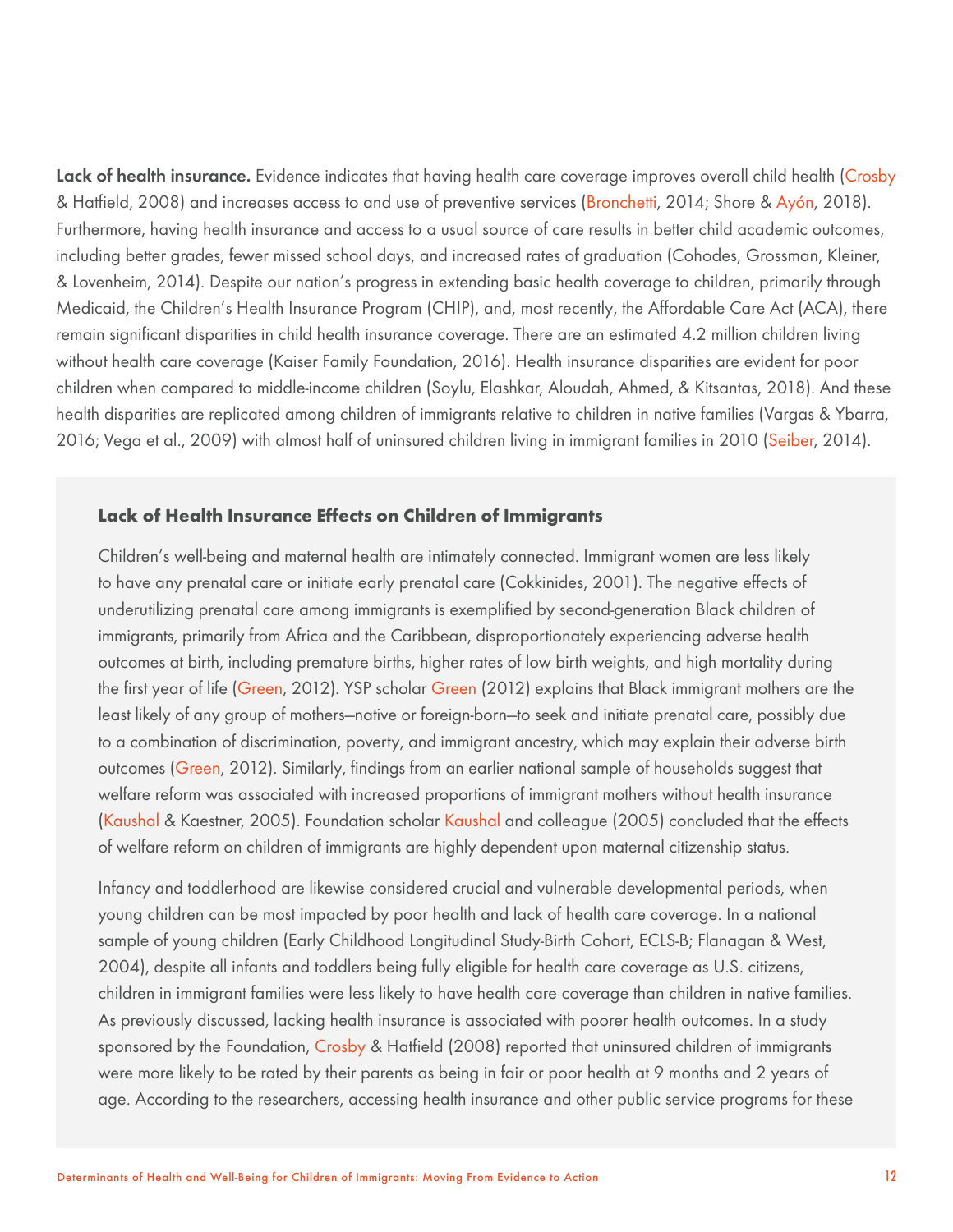Lack of health insurance. Evidence indicates that having health care coverage improves overall child health (Crosby & Hatfield, 2008) and increases access to and use of preventive services (Bronchetti, 2014; Shore & Ayón, 2018). Furthermore, having health insurance and access to a usual source of care results in better child academic outcomes, including better grades, fewer missed school days, and increased rates of graduation (Cohodes, Grossman, Kleiner, & Lovenheim, 2014). Despite our nation's progress in extending basic health coverage to children, primarily through Medicaid, the Children's Health Insurance Program (CHIP), and, most recently, the Affordable Care Act (ACA), there remain significant disparities in child health insurance coverage. There are an estimated 4.2 million children living without health care coverage (Kaiser Family Foundation, 2016). Health insurance disparities are evident for poor children when compared to middle-income children (Soylu, Elashkar, Aloudah, Ahmed, & Kitsantas, 2018). And these health disparities are replicated among children of immigrants relative to children in native families (Vargas & Ybarra, 2016; Vega et al., 2009) with almost half of uninsured children living in immigrant families in 2010 (Seiber, 2014).

## **Lack of Health Insurance Effects on Children of Immigrants**

Children's well-being and maternal health are intimately connected. Immigrant women are less likely to have any prenatal care or initiate early prenatal care (Cokkinides, 2001). The negative effects of underutilizing prenatal care among immigrants is exemplified by second-generation Black children of immigrants, primarily from Africa and the Caribbean, disproportionately experiencing adverse health outcomes at birth, including premature births, higher rates of low birth weights, and high mortality during the first year of life (Green, 2012). YSP scholar Green (2012) explains that Black immigrant mothers are the least likely of any group of mothers—native or foreign-born—to seek and initiate prenatal care, possibly due to a combination of discrimination, poverty, and immigrant ancestry, which may explain their adverse birth outcomes (Green, 2012). Similarly, findings from an earlier national sample of households suggest that welfare reform was associated with increased proportions of immigrant mothers without health insurance (Kaushal & Kaestner, 2005). Foundation scholar Kaushal and colleague (2005) concluded that the effects of welfare reform on children of immigrants are highly dependent upon maternal citizenship status.

Infancy and toddlerhood are likewise considered crucial and vulnerable developmental periods, when young children can be most impacted by poor health and lack of health care coverage. In a national sample of young children (Early Childhood Longitudinal Study-Birth Cohort, ECLS-B; Flanagan & West, 2004), despite all infants and toddlers being fully eligible for health care coverage as U.S. citizens, children in immigrant families were less likely to have health care coverage than children in native families. As previously discussed, lacking health insurance is associated with poorer health outcomes. In a study sponsored by the Foundation, Crosby & Hatfield (2008) reported that uninsured children of immigrants were more likely to be rated by their parents as being in fair or poor health at 9 months and 2 years of age. According to the researchers, accessing health insurance and other public service programs for these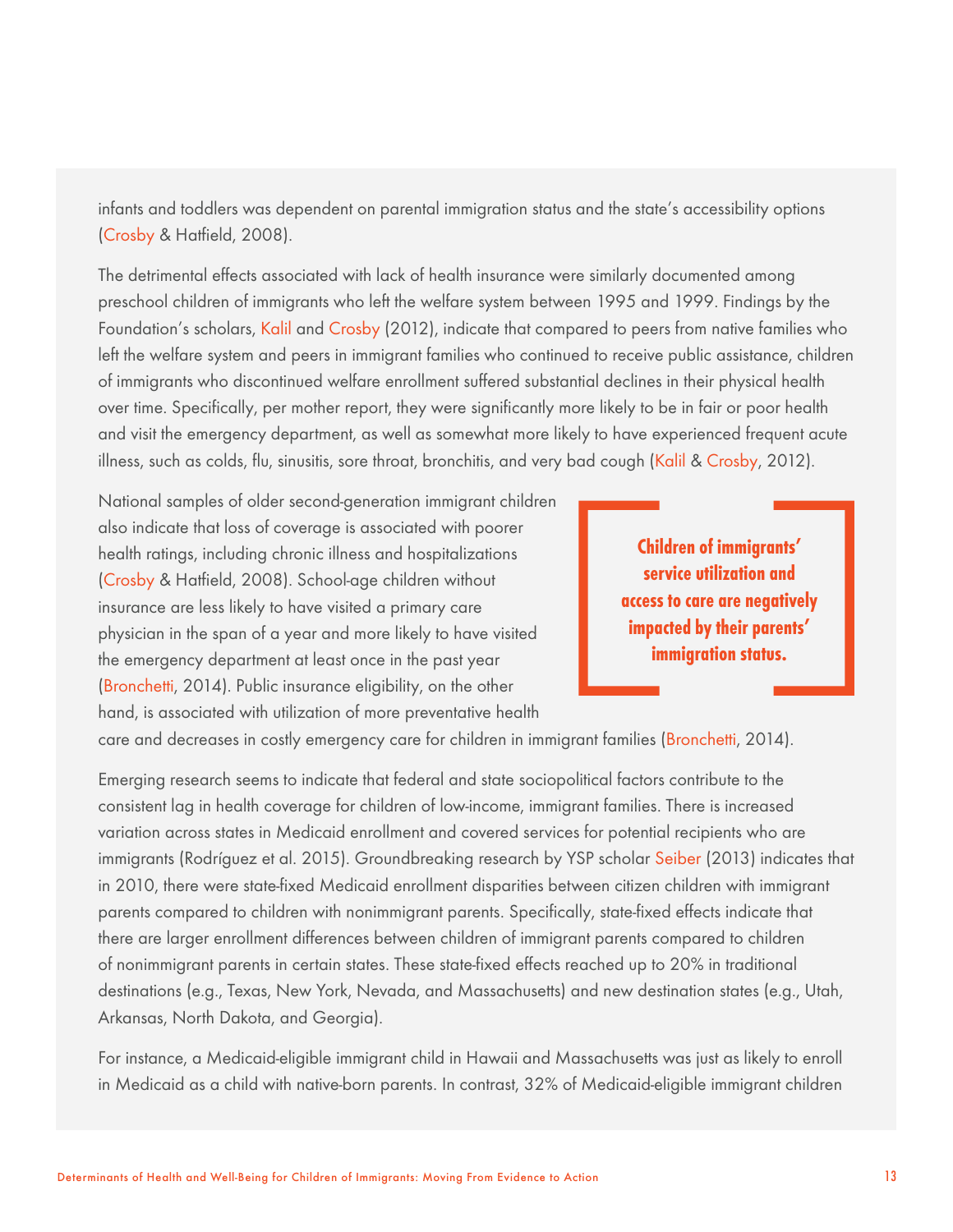infants and toddlers was dependent on parental immigration status and the state's accessibility options (Crosby & Hatfield, 2008).

The detrimental effects associated with lack of health insurance were similarly documented among preschool children of immigrants who left the welfare system between 1995 and 1999. Findings by the Foundation's scholars, Kalil and Crosby (2012), indicate that compared to peers from native families who left the welfare system and peers in immigrant families who continued to receive public assistance, children of immigrants who discontinued welfare enrollment suffered substantial declines in their physical health over time. Specifically, per mother report, they were significantly more likely to be in fair or poor health and visit the emergency department, as well as somewhat more likely to have experienced frequent acute illness, such as colds, flu, sinusitis, sore throat, bronchitis, and very bad cough (Kalil & Crosby, 2012).

National samples of older second-generation immigrant children also indicate that loss of coverage is associated with poorer health ratings, including chronic illness and hospitalizations (Crosby & Hatfield, 2008). School-age children without insurance are less likely to have visited a primary care physician in the span of a year and more likely to have visited the emergency department at least once in the past year (Bronchetti, 2014). Public insurance eligibility, on the other hand, is associated with utilization of more preventative health

**Children of immigrants' service utilization and access to care are negatively impacted by their parents' immigration status.**

care and decreases in costly emergency care for children in immigrant families (Bronchetti, 2014).

Emerging research seems to indicate that federal and state sociopolitical factors contribute to the consistent lag in health coverage for children of low-income, immigrant families. There is increased variation across states in Medicaid enrollment and covered services for potential recipients who are immigrants (Rodríguez et al. 2015). Groundbreaking research by YSP scholar Seiber (2013) indicates that in 2010, there were state-fixed Medicaid enrollment disparities between citizen children with immigrant parents compared to children with nonimmigrant parents. Specifically, state-fixed effects indicate that there are larger enrollment differences between children of immigrant parents compared to children of nonimmigrant parents in certain states. These state-fixed effects reached up to 20% in traditional destinations (e.g., Texas, New York, Nevada, and Massachusetts) and new destination states (e.g., Utah, Arkansas, North Dakota, and Georgia).

For instance, a Medicaid-eligible immigrant child in Hawaii and Massachusetts was just as likely to enroll in Medicaid as a child with native-born parents. In contrast, 32% of Medicaid-eligible immigrant children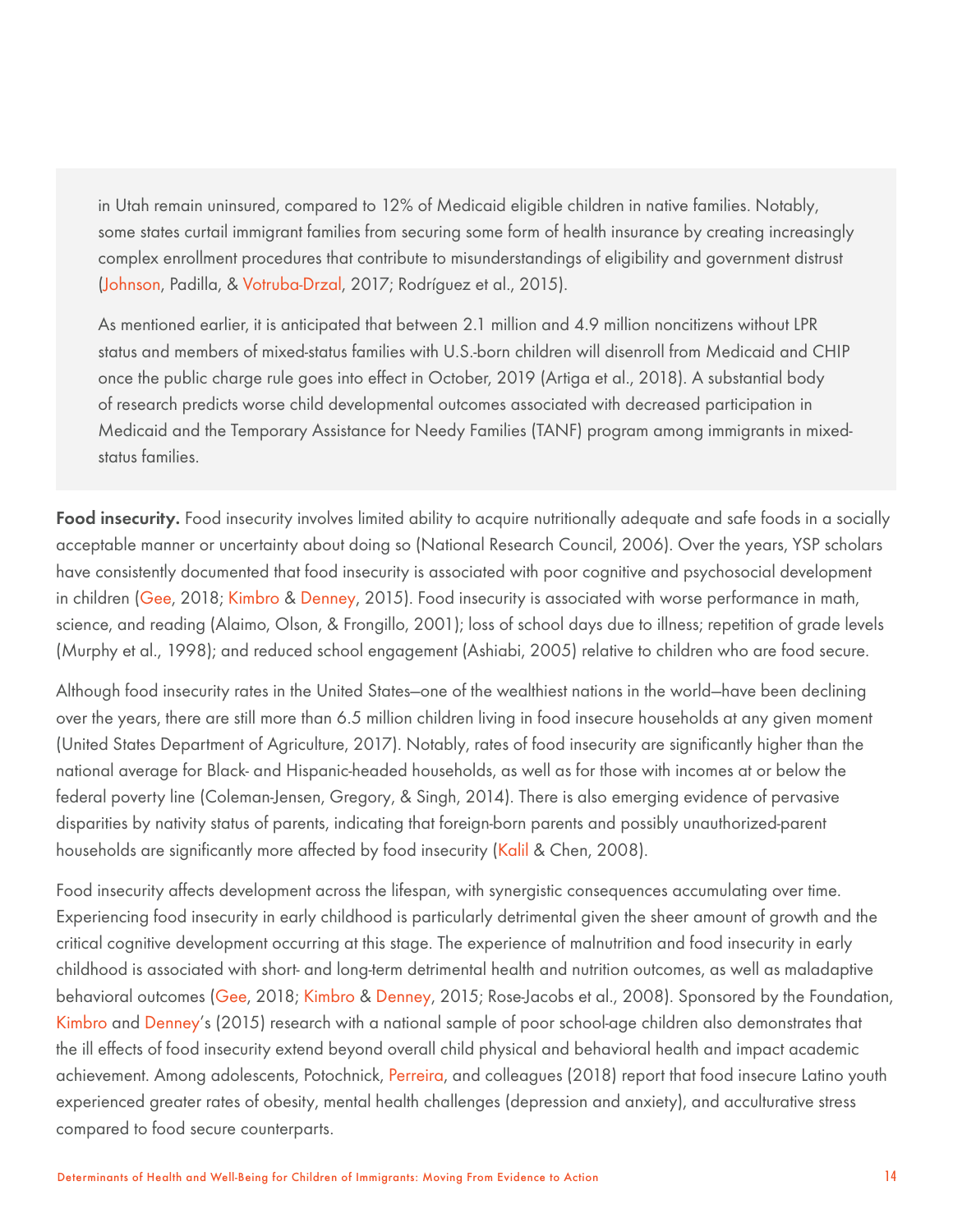in Utah remain uninsured, compared to 12% of Medicaid eligible children in native families. Notably, some states curtail immigrant families from securing some form of health insurance by creating increasingly complex enrollment procedures that contribute to misunderstandings of eligibility and government distrust (Johnson, Padilla, & Votruba-Drzal, 2017; Rodríguez et al., 2015).

As mentioned earlier, it is anticipated that between 2.1 million and 4.9 million noncitizens without LPR status and members of mixed-status families with U.S.-born children will disenroll from Medicaid and CHIP once the public charge rule goes into effect in October, 2019 (Artiga et al., 2018). A substantial body of research predicts worse child developmental outcomes associated with decreased participation in Medicaid and the Temporary Assistance for Needy Families (TANF) program among immigrants in mixedstatus families.

Food insecurity. Food insecurity involves limited ability to acquire nutritionally adequate and safe foods in a socially acceptable manner or uncertainty about doing so (National Research Council, 2006). Over the years, YSP scholars have consistently documented that food insecurity is associated with poor cognitive and psychosocial development in children (Gee, 2018; Kimbro & Denney, 2015). Food insecurity is associated with worse performance in math, science, and reading (Alaimo, Olson, & Frongillo, 2001); loss of school days due to illness; repetition of grade levels (Murphy et al., 1998); and reduced school engagement (Ashiabi, 2005) relative to children who are food secure.

Although food insecurity rates in the United States—one of the wealthiest nations in the world—have been declining over the years, there are still more than 6.5 million children living in food insecure households at any given moment (United States Department of Agriculture, 2017). Notably, rates of food insecurity are significantly higher than the national average for Black- and Hispanic-headed households, as well as for those with incomes at or below the federal poverty line (Coleman-Jensen, Gregory, & Singh, 2014). There is also emerging evidence of pervasive disparities by nativity status of parents, indicating that foreign-born parents and possibly unauthorized-parent households are significantly more affected by food insecurity (Kalil & Chen, 2008).

Food insecurity affects development across the lifespan, with synergistic consequences accumulating over time. Experiencing food insecurity in early childhood is particularly detrimental given the sheer amount of growth and the critical cognitive development occurring at this stage. The experience of malnutrition and food insecurity in early childhood is associated with short- and long-term detrimental health and nutrition outcomes, as well as maladaptive behavioral outcomes (Gee, 2018; Kimbro & Denney, 2015; Rose-Jacobs et al., 2008). Sponsored by the Foundation, Kimbro and Denney's (2015) research with a national sample of poor school-age children also demonstrates that the ill effects of food insecurity extend beyond overall child physical and behavioral health and impact academic achievement. Among adolescents, Potochnick, Perreira, and colleagues (2018) report that food insecure Latino youth experienced greater rates of obesity, mental health challenges (depression and anxiety), and acculturative stress compared to food secure counterparts.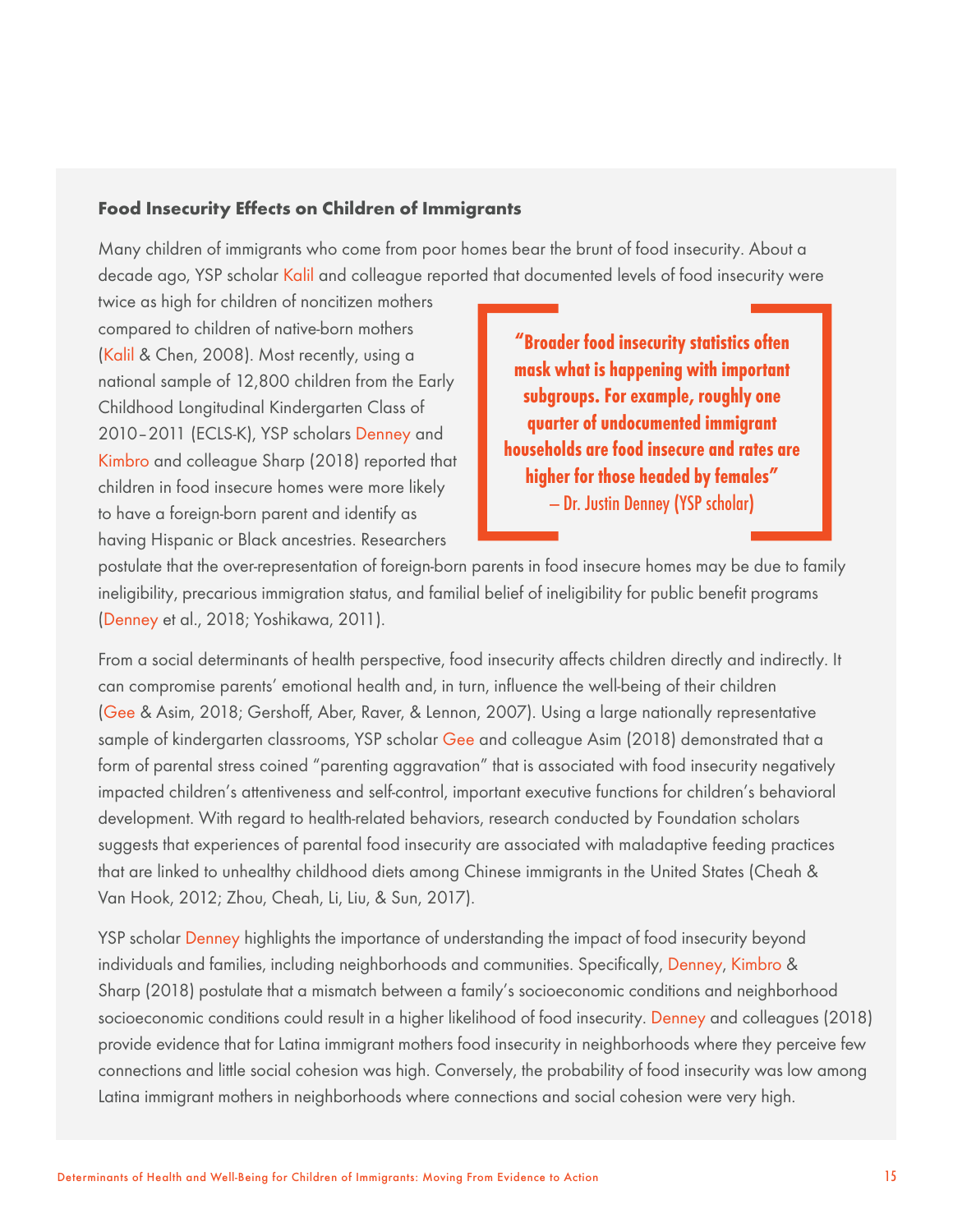#### **Food Insecurity Effects on Children of Immigrants**

Many children of immigrants who come from poor homes bear the brunt of food insecurity. About a decade ago, YSP scholar Kalil and colleague reported that documented levels of food insecurity were

twice as high for children of noncitizen mothers compared to children of native-born mothers (Kalil & Chen, 2008). Most recently, using a national sample of 12,800 children from the Early Childhood Longitudinal Kindergarten Class of 2010–2011 (ECLS-K), YSP scholars Denney and Kimbro and colleague Sharp (2018) reported that children in food insecure homes were more likely to have a foreign-born parent and identify as having Hispanic or Black ancestries. Researchers

**"Broader food insecurity statistics often mask what is happening with important subgroups. For example, roughly one quarter of undocumented immigrant households are food insecure and rates are higher for those headed by females"**  — Dr. Justin Denney (YSP scholar)

postulate that the over-representation of foreign-born parents in food insecure homes may be due to family ineligibility, precarious immigration status, and familial belief of ineligibility for public benefit programs (Denney et al., 2018; Yoshikawa, 2011).

From a social determinants of health perspective, food insecurity affects children directly and indirectly. It can compromise parents' emotional health and, in turn, influence the well-being of their children (Gee & Asim, 2018; Gershoff, Aber, Raver, & Lennon, 2007). Using a large nationally representative sample of kindergarten classrooms, YSP scholar Gee and colleague Asim (2018) demonstrated that a form of parental stress coined "parenting aggravation" that is associated with food insecurity negatively impacted children's attentiveness and self-control, important executive functions for children's behavioral development. With regard to health-related behaviors, research conducted by Foundation scholars suggests that experiences of parental food insecurity are associated with maladaptive feeding practices that are linked to unhealthy childhood diets among Chinese immigrants in the United States (Cheah & Van Hook, 2012; Zhou, Cheah, Li, Liu, & Sun, 2017).

YSP scholar Denney highlights the importance of understanding the impact of food insecurity beyond individuals and families, including neighborhoods and communities. Specifically, Denney, Kimbro & Sharp (2018) postulate that a mismatch between a family's socioeconomic conditions and neighborhood socioeconomic conditions could result in a higher likelihood of food insecurity. Denney and colleagues (2018) provide evidence that for Latina immigrant mothers food insecurity in neighborhoods where they perceive few connections and little social cohesion was high. Conversely, the probability of food insecurity was low among Latina immigrant mothers in neighborhoods where connections and social cohesion were very high.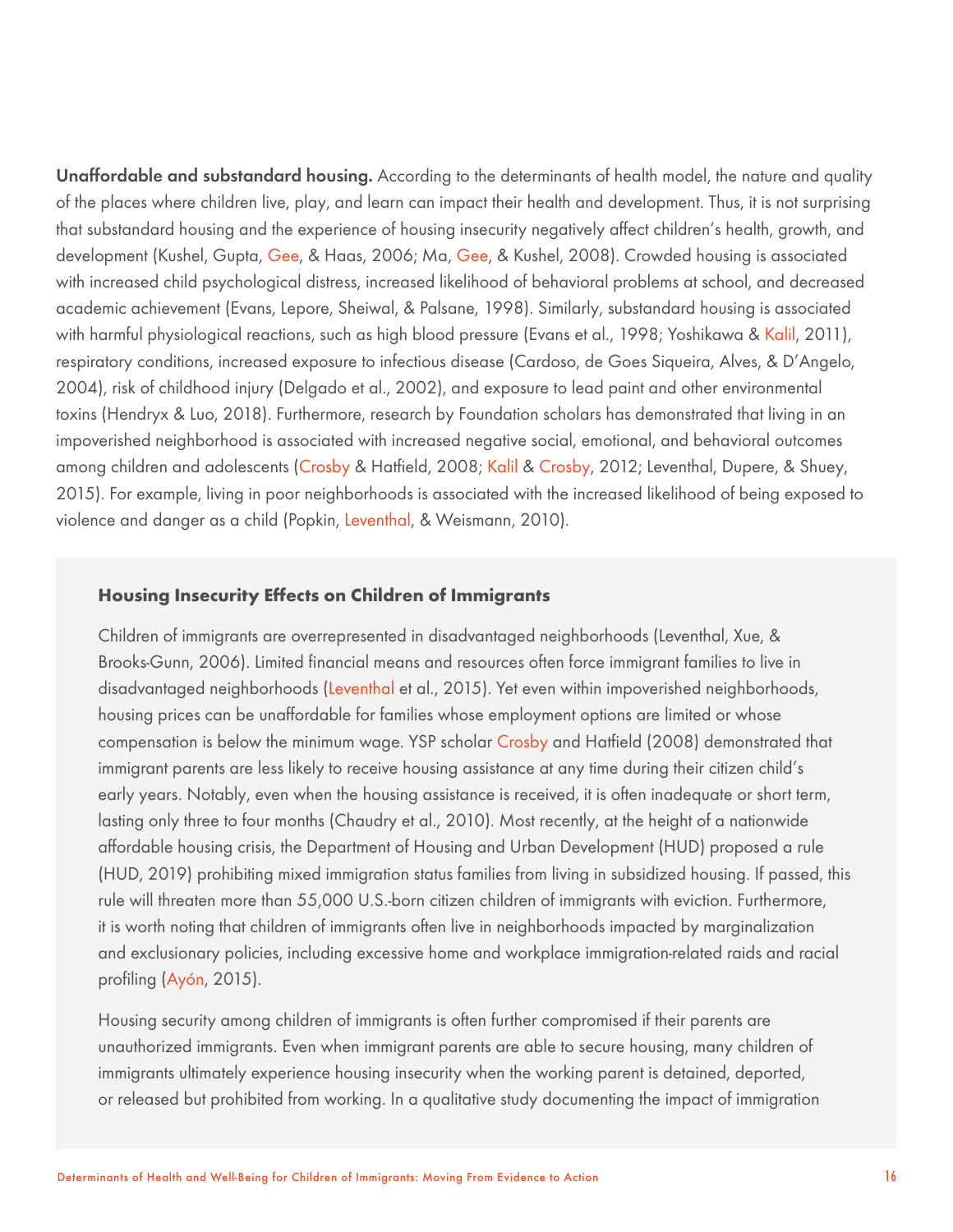Unaffordable and substandard housing. According to the determinants of health model, the nature and quality of the places where children live, play, and learn can impact their health and development. Thus, it is not surprising that substandard housing and the experience of housing insecurity negatively affect children's health, growth, and development (Kushel, Gupta, Gee, & Haas, 2006; Ma, Gee, & Kushel, 2008). Crowded housing is associated with increased child psychological distress, increased likelihood of behavioral problems at school, and decreased academic achievement (Evans, Lepore, Sheiwal, & Palsane, 1998). Similarly, substandard housing is associated with harmful physiological reactions, such as high blood pressure (Evans et al., 1998; Yoshikawa & Kalil, 2011), respiratory conditions, increased exposure to infectious disease (Cardoso, de Goes Siqueira, Alves, & D'Angelo, 2004), risk of childhood injury (Delgado et al., 2002), and exposure to lead paint and other environmental toxins (Hendryx & Luo, 2018). Furthermore, research by Foundation scholars has demonstrated that living in an impoverished neighborhood is associated with increased negative social, emotional, and behavioral outcomes among children and adolescents (Crosby & Hatfield, 2008; Kalil & Crosby, 2012; Leventhal, Dupere, & Shuey, 2015). For example, living in poor neighborhoods is associated with the increased likelihood of being exposed to violence and danger as a child (Popkin, Leventhal, & Weismann, 2010).

#### **Housing Insecurity Effects on Children of Immigrants**

Children of immigrants are overrepresented in disadvantaged neighborhoods (Leventhal, Xue, & Brooks-Gunn, 2006). Limited financial means and resources often force immigrant families to live in disadvantaged neighborhoods (Leventhal et al., 2015). Yet even within impoverished neighborhoods, housing prices can be unaffordable for families whose employment options are limited or whose compensation is below the minimum wage. YSP scholar Crosby and Hatfield (2008) demonstrated that immigrant parents are less likely to receive housing assistance at any time during their citizen child's early years. Notably, even when the housing assistance is received, it is often inadequate or short term, lasting only three to four months (Chaudry et al., 2010). Most recently, at the height of a nationwide affordable housing crisis, the Department of Housing and Urban Development (HUD) proposed a rule (HUD, 2019) prohibiting mixed immigration status families from living in subsidized housing. If passed, this rule will threaten more than 55,000 U.S.-born citizen children of immigrants with eviction. Furthermore, it is worth noting that children of immigrants often live in neighborhoods impacted by marginalization and exclusionary policies, including excessive home and workplace immigration-related raids and racial profiling (Ayón, 2015).

Housing security among children of immigrants is often further compromised if their parents are unauthorized immigrants. Even when immigrant parents are able to secure housing, many children of immigrants ultimately experience housing insecurity when the working parent is detained, deported, or released but prohibited from working. In a qualitative study documenting the impact of immigration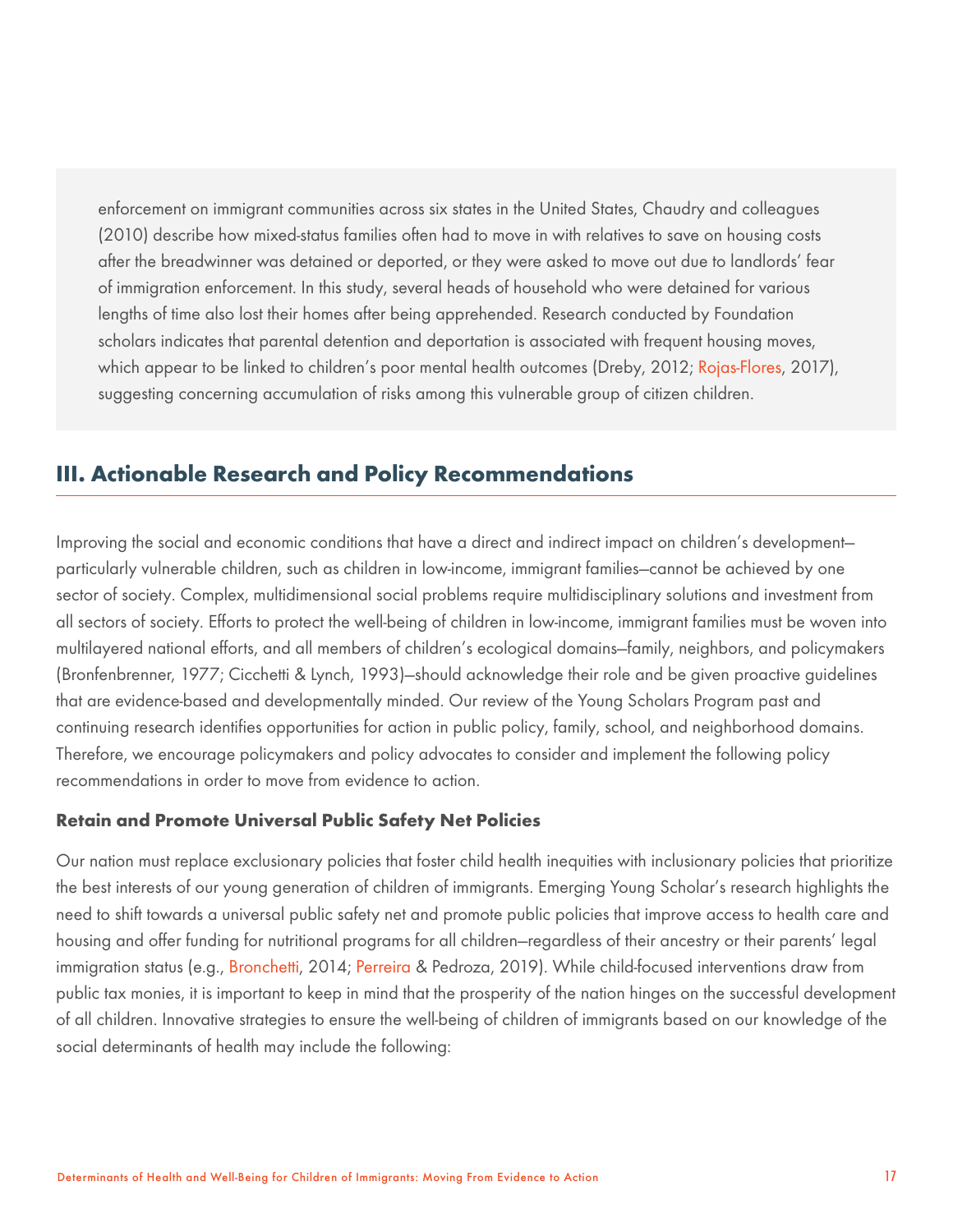enforcement on immigrant communities across six states in the United States, Chaudry and colleagues (2010) describe how mixed-status families often had to move in with relatives to save on housing costs after the breadwinner was detained or deported, or they were asked to move out due to landlords' fear of immigration enforcement. In this study, several heads of household who were detained for various lengths of time also lost their homes after being apprehended. Research conducted by Foundation scholars indicates that parental detention and deportation is associated with frequent housing moves, which appear to be linked to children's poor mental health outcomes (Dreby, 2012; Rojas-Flores, 2017), suggesting concerning accumulation of risks among this vulnerable group of citizen children.

# **III. Actionable Research and Policy Recommendations**

Improving the social and economic conditions that have a direct and indirect impact on children's development particularly vulnerable children, such as children in low-income, immigrant families—cannot be achieved by one sector of society. Complex, multidimensional social problems require multidisciplinary solutions and investment from all sectors of society. Efforts to protect the well-being of children in low-income, immigrant families must be woven into multilayered national efforts, and all members of children's ecological domains—family, neighbors, and policymakers (Bronfenbrenner, 1977; Cicchetti & Lynch, 1993)—should acknowledge their role and be given proactive guidelines that are evidence-based and developmentally minded. Our review of the Young Scholars Program past and continuing research identifies opportunities for action in public policy, family, school, and neighborhood domains. Therefore, we encourage policymakers and policy advocates to consider and implement the following policy recommendations in order to move from evidence to action.

## **Retain and Promote Universal Public Safety Net Policies**

Our nation must replace exclusionary policies that foster child health inequities with inclusionary policies that prioritize the best interests of our young generation of children of immigrants. Emerging Young Scholar's research highlights the need to shift towards a universal public safety net and promote public policies that improve access to health care and housing and offer funding for nutritional programs for all children—regardless of their ancestry or their parents' legal immigration status (e.g., Bronchetti, 2014; Perreira & Pedroza, 2019). While child-focused interventions draw from public tax monies, it is important to keep in mind that the prosperity of the nation hinges on the successful development of all children. Innovative strategies to ensure the well-being of children of immigrants based on our knowledge of the social determinants of health may include the following: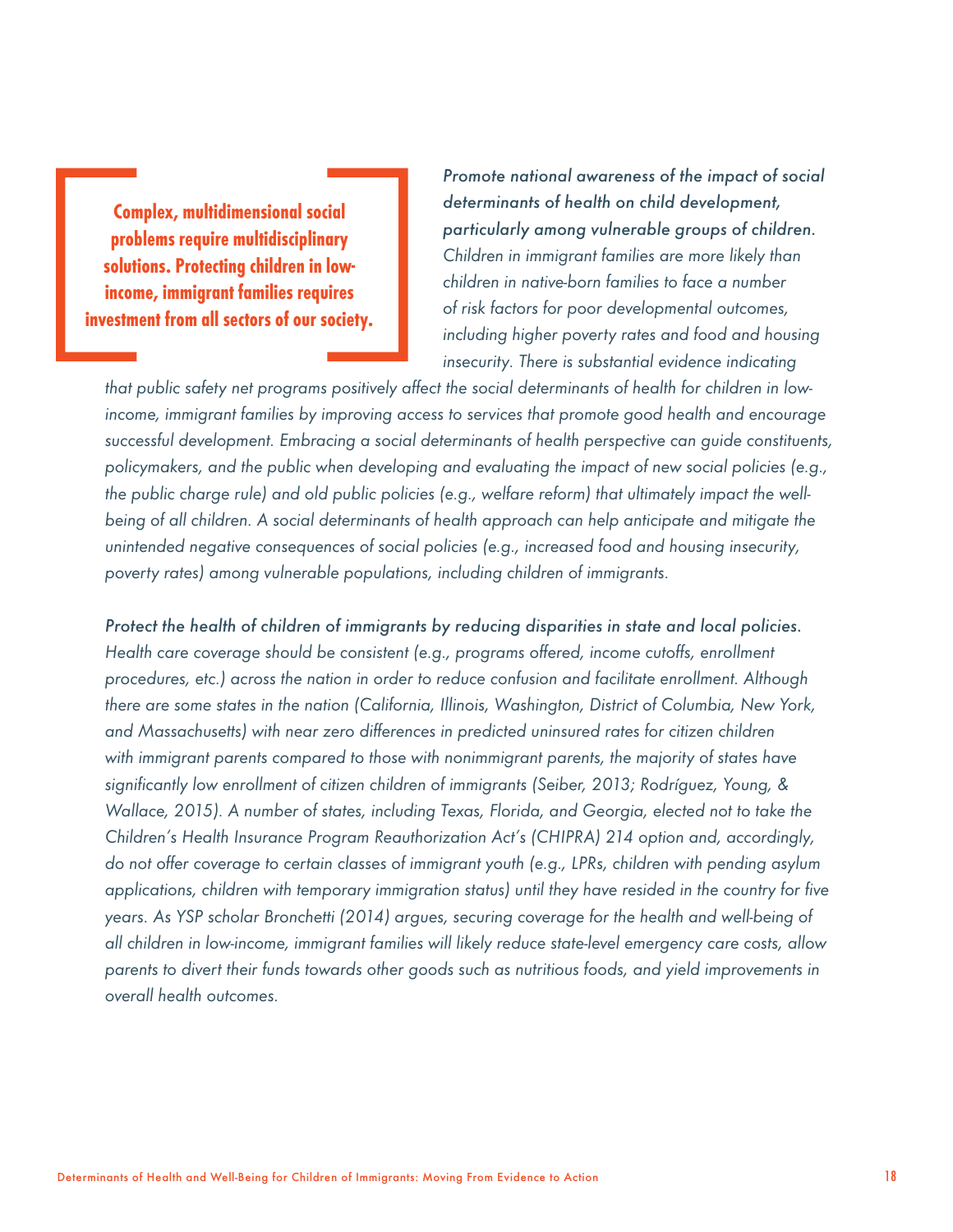**Complex, multidimensional social problems require multidisciplinary solutions. Protecting children in lowincome, immigrant families requires investment from all sectors of our society.**

*Promote national awareness of the impact of social determinants of health on child development, particularly among vulnerable groups of children. Children in immigrant families are more likely than children in native-born families to face a number of risk factors for poor developmental outcomes, including higher poverty rates and food and housing insecurity. There is substantial evidence indicating* 

*that public safety net programs positively affect the social determinants of health for children in lowincome, immigrant families by improving access to services that promote good health and encourage successful development. Embracing a social determinants of health perspective can guide constituents, policymakers, and the public when developing and evaluating the impact of new social policies (e.g., the public charge rule) and old public policies (e.g., welfare reform) that ultimately impact the wellbeing of all children. A social determinants of health approach can help anticipate and mitigate the unintended negative consequences of social policies (e.g., increased food and housing insecurity, poverty rates) among vulnerable populations, including children of immigrants.*

*Protect the health of children of immigrants by reducing disparities in state and local policies. Health care coverage should be consistent (e.g., programs offered, income cutoffs, enrollment procedures, etc.) across the nation in order to reduce confusion and facilitate enrollment. Although there are some states in the nation (California, Illinois, Washington, District of Columbia, New York, and Massachusetts) with near zero differences in predicted uninsured rates for citizen children with immigrant parents compared to those with nonimmigrant parents, the majority of states have significantly low enrollment of citizen children of immigrants (Seiber, 2013; Rodríguez, Young, & Wallace, 2015). A number of states, including Texas, Florida, and Georgia, elected not to take the Children's Health Insurance Program Reauthorization Act's (CHIPRA) 214 option and, accordingly, do not offer coverage to certain classes of immigrant youth (e.g., LPRs, children with pending asylum applications, children with temporary immigration status) until they have resided in the country for five years. As YSP scholar Bronchetti (2014) argues, securing coverage for the health and well-being of all children in low-income, immigrant families will likely reduce state-level emergency care costs, allow parents to divert their funds towards other goods such as nutritious foods, and yield improvements in overall health outcomes.*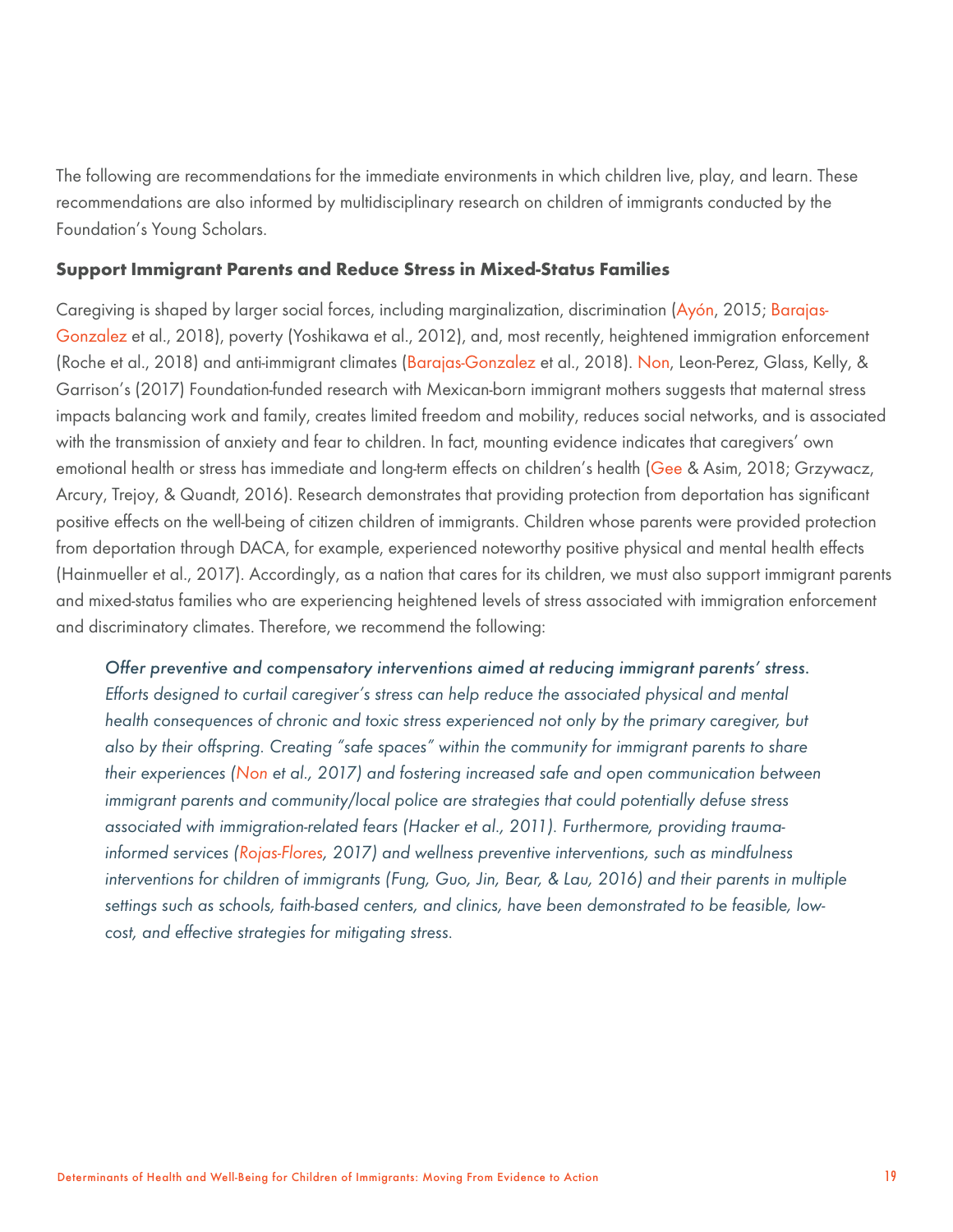The following are recommendations for the immediate environments in which children live, play, and learn. These recommendations are also informed by multidisciplinary research on children of immigrants conducted by the Foundation's Young Scholars.

#### **Support Immigrant Parents and Reduce Stress in Mixed-Status Families**

Caregiving is shaped by larger social forces, including marginalization, discrimination (Ayón, 2015; Barajas-Gonzalez et al., 2018), poverty (Yoshikawa et al., 2012), and, most recently, heightened immigration enforcement (Roche et al., 2018) and anti-immigrant climates (Barajas-Gonzalez et al., 2018). Non, Leon-Perez, Glass, Kelly, & Garrison's (2017) Foundation-funded research with Mexican-born immigrant mothers suggests that maternal stress impacts balancing work and family, creates limited freedom and mobility, reduces social networks, and is associated with the transmission of anxiety and fear to children. In fact, mounting evidence indicates that caregivers' own emotional health or stress has immediate and long-term effects on children's health (Gee & Asim, 2018; Grzywacz, Arcury, Trejoy, & Quandt, 2016). Research demonstrates that providing protection from deportation has significant positive effects on the well-being of citizen children of immigrants. Children whose parents were provided protection from deportation through DACA, for example, experienced noteworthy positive physical and mental health effects (Hainmueller et al., 2017). Accordingly, as a nation that cares for its children, we must also support immigrant parents and mixed-status families who are experiencing heightened levels of stress associated with immigration enforcement and discriminatory climates. Therefore, we recommend the following:

*Offer preventive and compensatory interventions aimed at reducing immigrant parents' stress. Efforts designed to curtail caregiver's stress can help reduce the associated physical and mental health consequences of chronic and toxic stress experienced not only by the primary caregiver, but also by their offspring. Creating "safe spaces" within the community for immigrant parents to share their experiences (Non et al., 2017) and fostering increased safe and open communication between immigrant parents and community/local police are strategies that could potentially defuse stress associated with immigration-related fears (Hacker et al., 2011). Furthermore, providing traumainformed services (Rojas-Flores, 2017) and wellness preventive interventions, such as mindfulness interventions for children of immigrants (Fung, Guo, Jin, Bear, & Lau, 2016) and their parents in multiple settings such as schools, faith-based centers, and clinics, have been demonstrated to be feasible, lowcost, and effective strategies for mitigating stress.*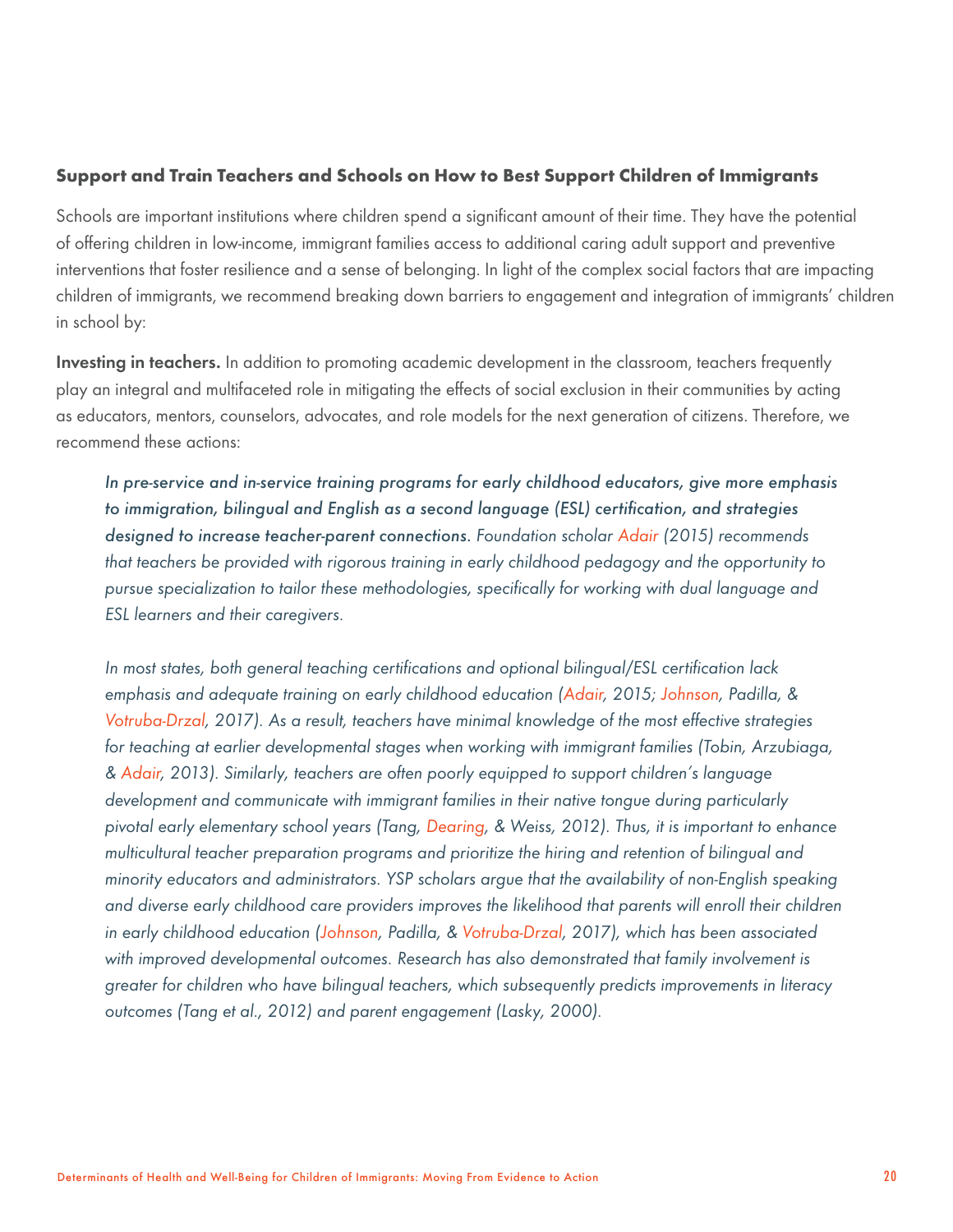## **Support and Train Teachers and Schools on How to Best Support Children of Immigrants**

Schools are important institutions where children spend a significant amount of their time. They have the potential of offering children in low-income, immigrant families access to additional caring adult support and preventive interventions that foster resilience and a sense of belonging. In light of the complex social factors that are impacting children of immigrants, we recommend breaking down barriers to engagement and integration of immigrants' children in school by:

Investing in teachers. In addition to promoting academic development in the classroom, teachers frequently play an integral and multifaceted role in mitigating the effects of social exclusion in their communities by acting as educators, mentors, counselors, advocates, and role models for the next generation of citizens. Therefore, we recommend these actions:

*In pre-service and in-service training programs for early childhood educators, give more emphasis to immigration, bilingual and English as a second language (ESL) certification, and strategies designed to increase teacher-parent connections. Foundation scholar Adair (2015) recommends that teachers be provided with rigorous training in early childhood pedagogy and the opportunity to pursue specialization to tailor these methodologies, specifically for working with dual language and ESL learners and their caregivers.* 

*In most states, both general teaching certifications and optional bilingual/ESL certification lack emphasis and adequate training on early childhood education (Adair, 2015; Johnson, Padilla, & Votruba-Drzal, 2017). As a result, teachers have minimal knowledge of the most effective strategies for teaching at earlier developmental stages when working with immigrant families (Tobin, Arzubiaga, & Adair, 2013). Similarly, teachers are often poorly equipped to support children's language development and communicate with immigrant families in their native tongue during particularly pivotal early elementary school years (Tang, Dearing, & Weiss, 2012). Thus, it is important to enhance multicultural teacher preparation programs and prioritize the hiring and retention of bilingual and minority educators and administrators. YSP scholars argue that the availability of non-English speaking and diverse early childhood care providers improves the likelihood that parents will enroll their children in early childhood education (Johnson, Padilla, & Votruba-Drzal, 2017), which has been associated with improved developmental outcomes. Research has also demonstrated that family involvement is greater for children who have bilingual teachers, which subsequently predicts improvements in literacy outcomes (Tang et al., 2012) and parent engagement (Lasky, 2000).*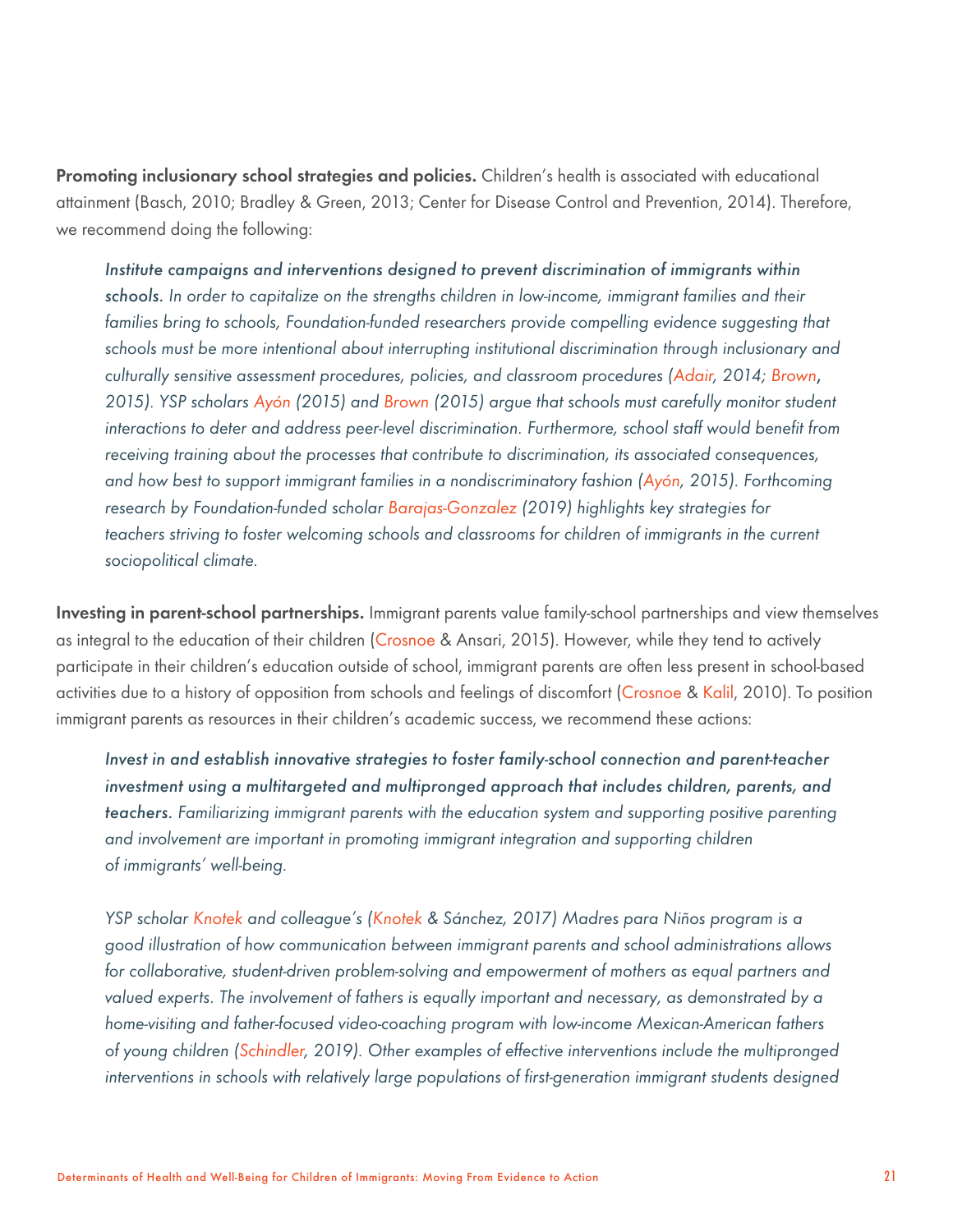Promoting inclusionary school strategies and policies. Children's health is associated with educational attainment (Basch, 2010; Bradley & Green, 2013; Center for Disease Control and Prevention, 2014). Therefore, we recommend doing the following:

*Institute campaigns and interventions designed to prevent discrimination of immigrants within schools. In order to capitalize on the strengths children in low-income, immigrant families and their*  families bring to schools, Foundation-funded researchers provide compelling evidence suggesting that *schools must be more intentional about interrupting institutional discrimination through inclusionary and culturally sensitive assessment procedures, policies, and classroom procedures (Adair, 2014; Brown*, *2015). YSP scholars Ayón (2015) and Brown (2015) argue that schools must carefully monitor student interactions to deter and address peer-level discrimination. Furthermore, school staff would benefit from receiving training about the processes that contribute to discrimination, its associated consequences, and how best to support immigrant families in a nondiscriminatory fashion (Ayón, 2015). Forthcoming research by Foundation-funded scholar Barajas-Gonzalez (2019) highlights key strategies for*  teachers striving to foster welcoming schools and classrooms for children of immigrants in the current *sociopolitical climate.*

Investing in parent-school partnerships. Immigrant parents value family-school partnerships and view themselves as integral to the education of their children (Crosnoe & Ansari, 2015). However, while they tend to actively participate in their children's education outside of school, immigrant parents are often less present in school-based activities due to a history of opposition from schools and feelings of discomfort (Crosnoe & Kalil, 2010). To position immigrant parents as resources in their children's academic success, we recommend these actions:

*Invest in and establish innovative strategies to foster family-school connection and parent-teacher investment using a multitargeted and multipronged approach that includes children, parents, and teachers. Familiarizing immigrant parents with the education system and supporting positive parenting and involvement are important in promoting immigrant integration and supporting children of immigrants' well-being.*

*YSP scholar Knotek and colleague's (Knotek & Sánchez, 2017) Madres para Niños program is a good illustration of how communication between immigrant parents and school administrations allows for collaborative, student-driven problem-solving and empowerment of mothers as equal partners and valued experts. The involvement of fathers is equally important and necessary, as demonstrated by a home-visiting and father-focused video-coaching program with low-income Mexican-American fathers of young children (Schindler, 2019). Other examples of effective interventions include the multipronged interventions in schools with relatively large populations of first-generation immigrant students designed*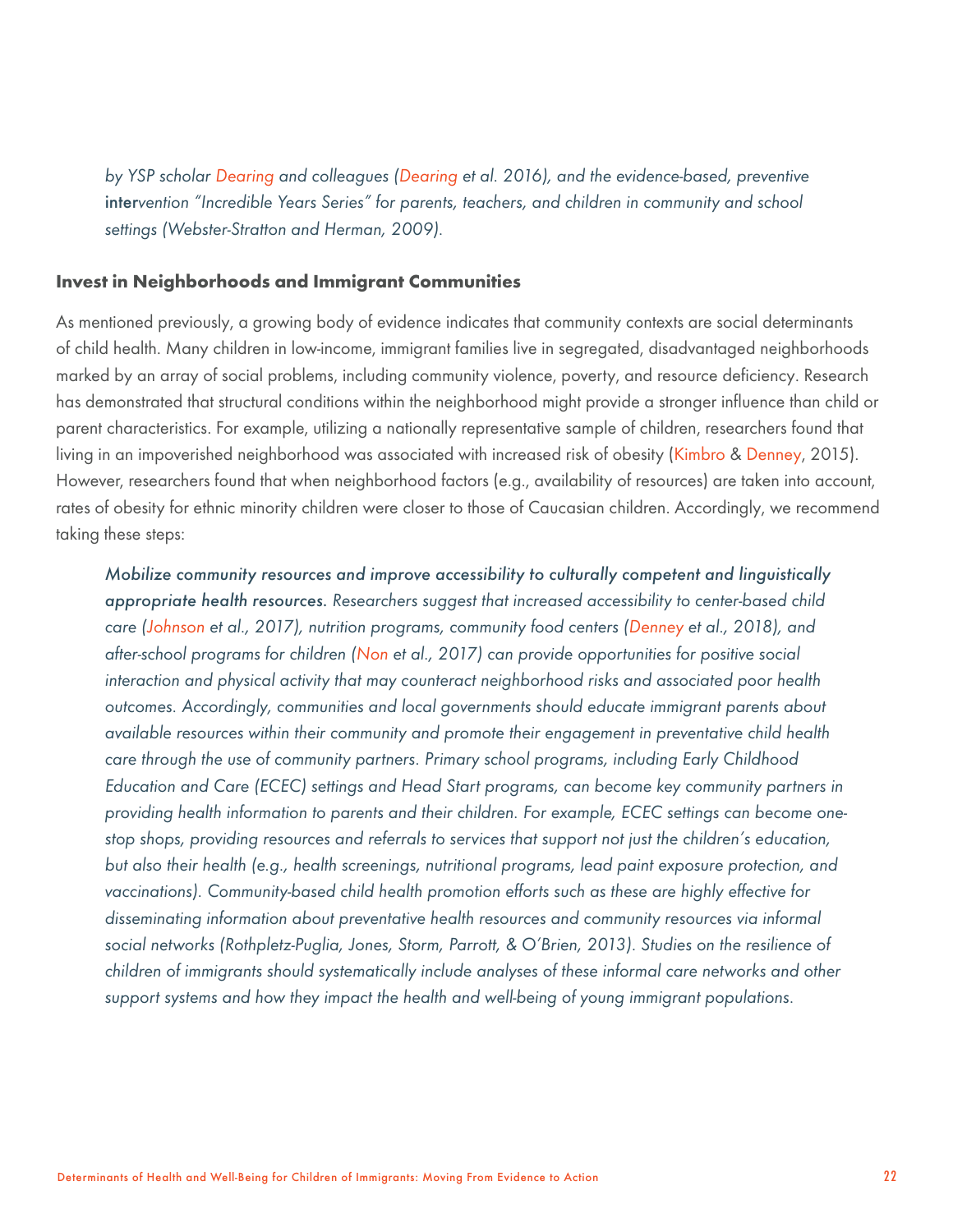*by YSP scholar Dearing and colleagues (Dearing et al. 2016), and the evidence-based, preventive*  inter*vention "Incredible Years Series" for parents, teachers, and children in community and school settings (Webster-Stratton and Herman, 2009).* 

## **Invest in Neighborhoods and Immigrant Communities**

As mentioned previously, a growing body of evidence indicates that community contexts are social determinants of child health. Many children in low-income, immigrant families live in segregated, disadvantaged neighborhoods marked by an array of social problems, including community violence, poverty, and resource deficiency. Research has demonstrated that structural conditions within the neighborhood might provide a stronger influence than child or parent characteristics. For example, utilizing a nationally representative sample of children, researchers found that living in an impoverished neighborhood was associated with increased risk of obesity (Kimbro & Denney, 2015). However, researchers found that when neighborhood factors (e.g., availability of resources) are taken into account, rates of obesity for ethnic minority children were closer to those of Caucasian children. Accordingly, we recommend taking these steps:

*Mobilize community resources and improve accessibility to culturally competent and linguistically appropriate health resources. Researchers suggest that increased accessibility to center-based child care (Johnson et al., 2017), nutrition programs, community food centers (Denney et al., 2018), and after-school programs for children (Non et al., 2017) can provide opportunities for positive social interaction and physical activity that may counteract neighborhood risks and associated poor health outcomes. Accordingly, communities and local governments should educate immigrant parents about available resources within their community and promote their engagement in preventative child health care through the use of community partners. Primary school programs, including Early Childhood Education and Care (ECEC) settings and Head Start programs, can become key community partners in providing health information to parents and their children. For example, ECEC settings can become onestop shops, providing resources and referrals to services that support not just the children's education, but also their health (e.g., health screenings, nutritional programs, lead paint exposure protection, and vaccinations). Community-based child health promotion efforts such as these are highly effective for disseminating information about preventative health resources and community resources via informal social networks (Rothpletz-Puglia, Jones, Storm, Parrott, & O'Brien, 2013). Studies on the resilience of children of immigrants should systematically include analyses of these informal care networks and other support systems and how they impact the health and well-being of young immigrant populations.*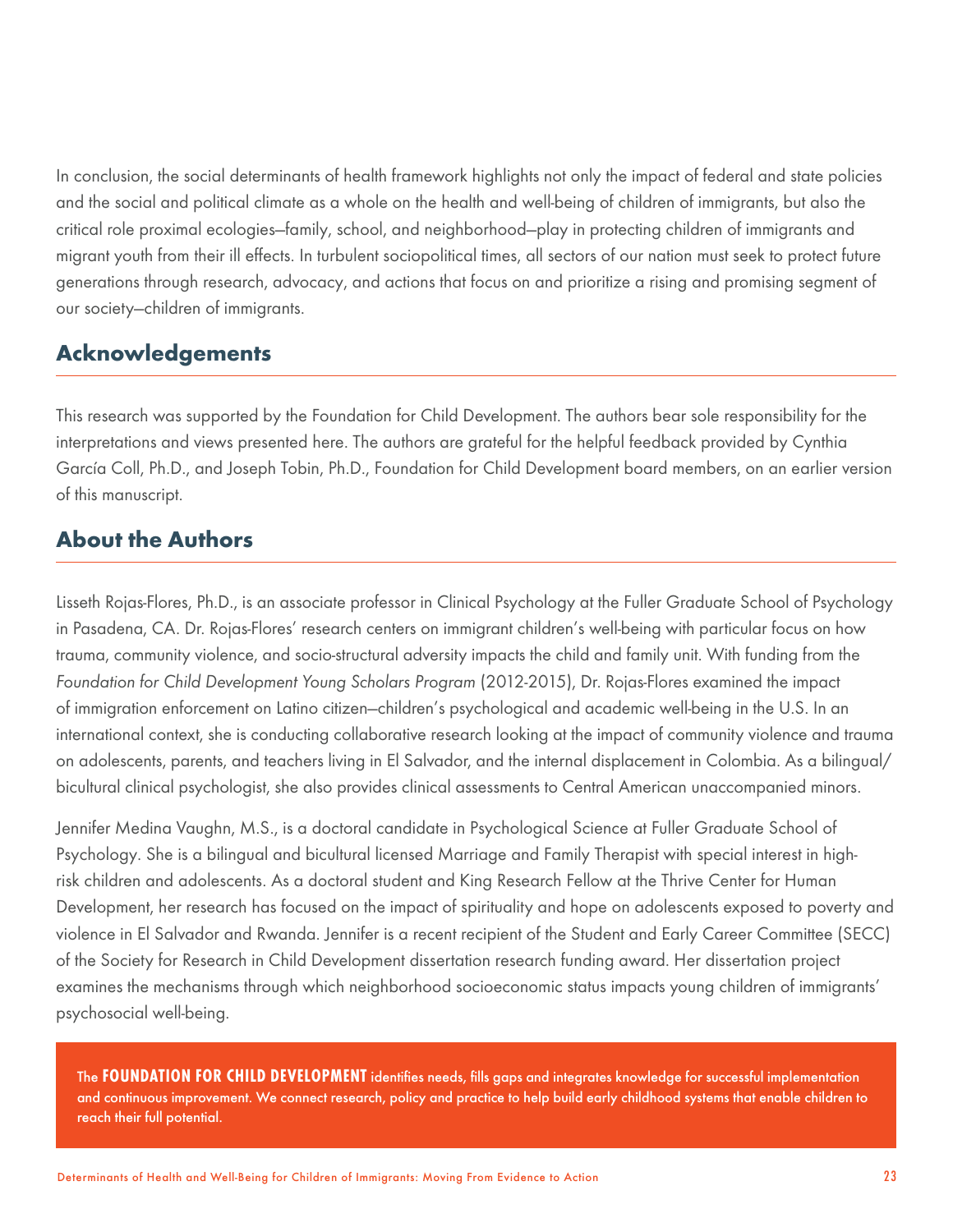In conclusion, the social determinants of health framework highlights not only the impact of federal and state policies and the social and political climate as a whole on the health and well-being of children of immigrants, but also the critical role proximal ecologies—family, school, and neighborhood—play in protecting children of immigrants and migrant youth from their ill effects. In turbulent sociopolitical times, all sectors of our nation must seek to protect future generations through research, advocacy, and actions that focus on and prioritize a rising and promising segment of our society—children of immigrants.

# **Acknowledgements**

This research was supported by the Foundation for Child Development. The authors bear sole responsibility for the interpretations and views presented here. The authors are grateful for the helpful feedback provided by Cynthia García Coll, Ph.D., and Joseph Tobin, Ph.D., Foundation for Child Development board members, on an earlier version of this manuscript.

# **About the Authors**

Lisseth Rojas-Flores, Ph.D., is an associate professor in Clinical Psychology at the Fuller Graduate School of Psychology in Pasadena, CA. Dr. Rojas-Flores' research centers on immigrant children's well-being with particular focus on how trauma, community violence, and socio-structural adversity impacts the child and family unit. With funding from the *Foundation for Child Development Young Scholars Program* (2012-2015), Dr. Rojas-Flores examined the impact of immigration enforcement on Latino citizen—children's psychological and academic well-being in the U.S. In an international context, she is conducting collaborative research looking at the impact of community violence and trauma on adolescents, parents, and teachers living in El Salvador, and the internal displacement in Colombia. As a bilingual/ bicultural clinical psychologist, she also provides clinical assessments to Central American unaccompanied minors.

Jennifer Medina Vaughn, M.S., is a doctoral candidate in Psychological Science at Fuller Graduate School of Psychology. She is a bilingual and bicultural licensed Marriage and Family Therapist with special interest in highrisk children and adolescents. As a doctoral student and King Research Fellow at the Thrive Center for Human Development, her research has focused on the impact of spirituality and hope on adolescents exposed to poverty and violence in El Salvador and Rwanda. Jennifer is a recent recipient of the Student and Early Career Committee (SECC) of the Society for Research in Child Development dissertation research funding award. Her dissertation project examines the mechanisms through which neighborhood socioeconomic status impacts young children of immigrants' psychosocial well-being.

The **FOUNDATION FOR CHILD DEVELOPMENT** identifies needs, fills gaps and integrates knowledge for successful implementation and continuous improvement. We connect research, policy and practice to help build early childhood systems that enable children to reach their full potential.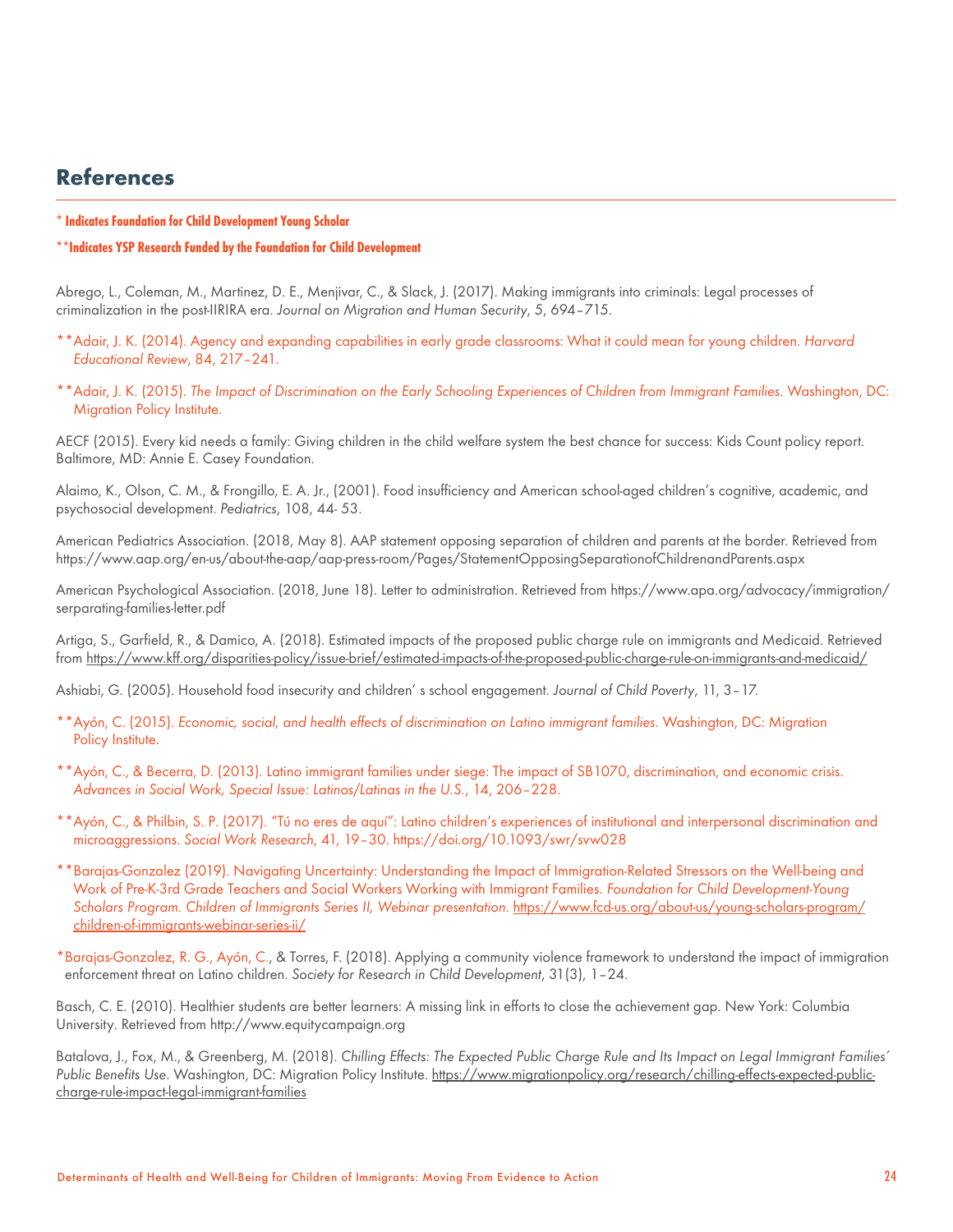# **References**

- **\* Indicates Foundation for Child Development Young Scholar**
- **\*\*Indicates YSP Research Funded by the Foundation for Child Development**

Abrego, L., Coleman, M., Martinez, D. E., Menjivar, C., & Slack, J. (2017). Making immigrants into criminals: Legal processes of criminalization in the post-IIRIRA era. *Journal on Migration and Human Security*, 5, 694–715.

- \*\*Adair, J. K. (2014). Agency and expanding capabilities in early grade classrooms: What it could mean for young children. *Harvard Educational Review*, 84, 217–241.
- \*\*Adair, J. K. (2015). *The Impact of Discrimination on the Early Schooling Experiences of Children from Immigrant Families*. Washington, DC: Migration Policy Institute.

AECF (2015). Every kid needs a family: Giving children in the child welfare system the best chance for success: Kids Count policy report. Baltimore, MD: Annie E. Casey Foundation.

Alaimo, K., Olson, C. M., & Frongillo, E. A. Jr., (2001). Food insufficiency and American school-aged children's cognitive, academic, and psychosocial development. *Pediatrics*, 108, 44- 53.

American Pediatrics Association. (2018, May 8). AAP statement opposing separation of children and parents at the border. Retrieved from https://www.aap.org/en-us/about-the-aap/aap-press-room/Pages/StatementOpposingSeparationofChildrenandParents.aspx

American Psychological Association. (2018, June 18). Letter to administration. Retrieved from https://www.apa.org/advocacy/immigration/ serparating-families-letter.pdf

Artiga, S., Garfield, R., & Damico, A. (2018). Estimated impacts of the proposed public charge rule on immigrants and Medicaid. Retrieved from [https://www.kff.org/disparities-policy/issue-brief/estimated-impacts-of-the-proposed-public-charge-rule-on-immigrants-and-medicaid/](https://www.kff.org/disparities-policy/issue-brief/estimated-impacts-of-final-public-charge-inadmissibility-rule-on-immigrants-and-medicaid-coverage/)

Ashiabi, G. (2005). Household food insecurity and children' s school engagement. *Journal of Child Poverty*, 11, 3–17.

- \*\*Ayón, C. (2015). *Economic, social, and health effects of discrimination on Latino immigrant families*. Washington, DC: Migration Policy Institute.
- \*\*Ayón, C., & Becerra, D. (2013). Latino immigrant families under siege: The impact of SB1070, discrimination, and economic crisis. *Advances in Social Work, Special Issue: Latinos/Latinas in the U.S.*, 14, 206–228.
- \*\*Ayón, C., & Philbin, S. P. (2017). "Tú no eres de aquí": Latino children's experiences of institutional and interpersonal discrimination and microaggressions. *Social Work Research*, 41, 19–30. https://doi.org/10.1093/swr/svw028
- \*\*Barajas-Gonzalez (2019). Navigating Uncertainty: Understanding the Impact of Immigration-Related Stressors on the Well-being and Work of Pre-K-3rd Grade Teachers and Social Workers Working with Immigrant Families. *Foundation for Child Development-Young*  Scholars Program. Children of Immigrants Series II, Webinar presentation. [https://www.fcd-us.org/about-us/young-scholars-program/](https://www.fcd-us.org/about-us/young-scholars-program/children-of-immigrants-webinar-series-ii/) [children-of-immigrants-webinar-series-ii/](https://www.fcd-us.org/about-us/young-scholars-program/children-of-immigrants-webinar-series-ii/)
- \*Barajas-Gonzalez, R. G., Ayón, C., & Torres, F. (2018). Applying a community violence framework to understand the impact of immigration enforcement threat on Latino children. *Society for Research in Child Development*, 31(3), 1–24.

Basch, C. E. (2010). Healthier students are better learners: A missing link in efforts to close the achievement gap. New York: Columbia University. Retrieved from http://www.equitycampaign.org

Batalova, J., Fox, M., & Greenberg, M. (2018). *Chilling Effects: The Expected Public Charge Rule and Its Impact on Legal Immigrant Families' Public Benefits Use*. Washington, DC: Migration Policy Institute. [https://www.migrationpolicy.org/research/chilling-effects-expected-public](https://www.migrationpolicy.org/research/chilling-effects-expected-public-charge-rule-impact-legal-i)[charge-rule-impact-legal-immigrant-families](https://www.migrationpolicy.org/research/chilling-effects-expected-public-charge-rule-impact-legal-i)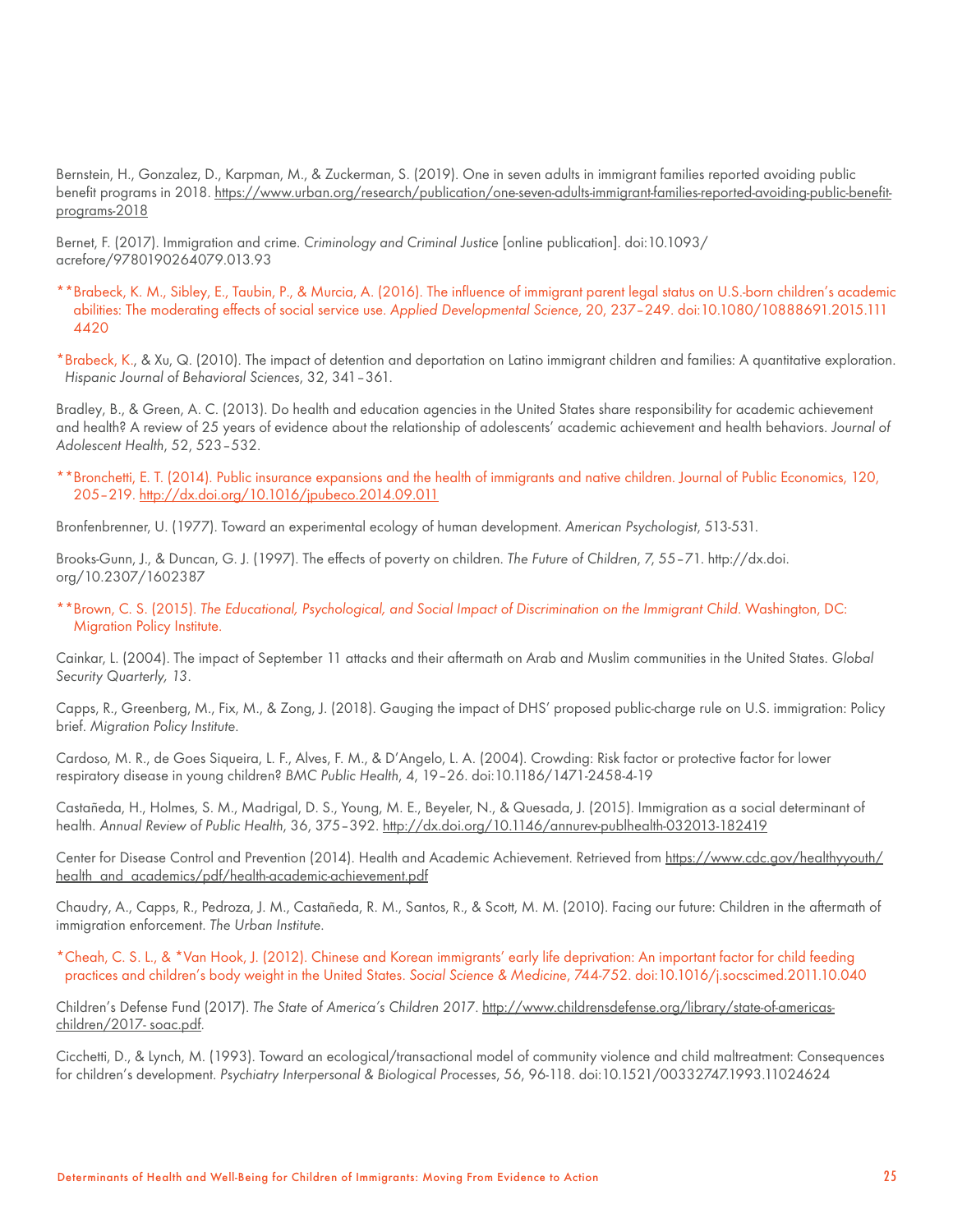Bernstein, H., Gonzalez, D., Karpman, M., & Zuckerman, S. (2019). One in seven adults in immigrant families reported avoiding public benefit programs in 2018. [https://www.urban.org/research/publication/one-seven-adults-immigrant-families-reported-avoiding-public-benefit](https://www.urban.org/research/publication/one-seven-adults-immigrant-families-reported-avoiding-pub)[programs-2018](https://www.urban.org/research/publication/one-seven-adults-immigrant-families-reported-avoiding-pub)

Bernet, F. (2017). Immigration and crime. *Criminology and Criminal Justice* [online publication]. doi:10.1093/ acrefore/9780190264079.013.93

- \*\*Brabeck, K. M., Sibley, E., Taubin, P., & Murcia, A. (2016). The influence of immigrant parent legal status on U.S.-born children's academic abilities: The moderating effects of social service use. *Applied Developmental Science*, 20, 237–249. doi:10.1080/10888691.2015.111 4420
- \*Brabeck, K., & Xu, Q. (2010). The impact of detention and deportation on Latino immigrant children and families: A quantitative exploration. *Hispanic Journal of Behavioral Sciences*, 32, 341–361.

Bradley, B., & Green, A. C. (2013). Do health and education agencies in the United States share responsibility for academic achievement and health? A review of 25 years of evidence about the relationship of adolescents' academic achievement and health behaviors. *Journal of Adolescent Health*, 52, 523–532.

\*\*Bronchetti, E. T. (2014). Public insurance expansions and the health of immigrants and native children. Journal of Public Economics, 120, 205–219. <http://dx.doi.org/10.1016/jpubeco.2014.09.011>

Bronfenbrenner, U. (1977). Toward an experimental ecology of human development. *American Psychologist*, 513-531.

Brooks-Gunn, J., & Duncan, G. J. (1997). The effects of poverty on children. *The Future of Children*, 7, 55–71. http://dx.doi. org/10.2307/1602387

\*\*Brown, C. S. (2015). *The Educational, Psychological, and Social Impact of Discrimination on the Immigrant Child*. Washington, DC: Migration Policy Institute.

Cainkar, L. (2004). The impact of September 11 attacks and their aftermath on Arab and Muslim communities in the United States. *Global Security Quarterly, 13*.

Capps, R., Greenberg, M., Fix, M., & Zong, J. (2018). Gauging the impact of DHS' proposed public-charge rule on U.S. immigration: Policy brief. *Migration Policy Institute*.

Cardoso, M. R., de Goes Siqueira, L. F., Alves, F. M., & D'Angelo, L. A. (2004). Crowding: Risk factor or protective factor for lower respiratory disease in young children? *BMC Public Health*, 4, 19–26. doi:10.1186/1471-2458-4-19

Castañeda, H., Holmes, S. M., Madrigal, D. S., Young, M. E., Beyeler, N., & Quesada, J. (2015). Immigration as a social determinant of health. *Annual Review of Public Health*, 36, 375–392.<http://dx.doi.org/10.1146/annurev-publhealth-032013-182419>

Center for Disease Control and Prevention (2014). Health and Academic Achievement. Retrieved from [https://www.cdc.gov/healthyyouth/](https://www.cdc.gov/healthyyouth/health_and_academics/pdf/health-academic-achievement.pdf) [health\\_and\\_academics/pdf/health-academic-achievement.pdf](https://www.cdc.gov/healthyyouth/health_and_academics/pdf/health-academic-achievement.pdf)

Chaudry, A., Capps, R., Pedroza, J. M., Castañeda, R. M., Santos, R., & Scott, M. M. (2010). Facing our future: Children in the aftermath of immigration enforcement. *The Urban Institute*.

\*Cheah, C. S. L., & \*Van Hook, J. (2012). Chinese and Korean immigrants' early life deprivation: An important factor for child feeding practices and children's body weight in the United States. *Social Science & Medicine*, 744-752. doi:10.1016/j.socscimed.2011.10.040

Children's Defense Fund (2017). *The State of America's Children 2017*. [http://www.childrensdefense.org/library/state-of-americas](http://www.childrensdefense.org/library/state-of-americas-children/2017- soac.pdf)[children/2017- soac.pdf](http://www.childrensdefense.org/library/state-of-americas-children/2017- soac.pdf).

Cicchetti, D., & Lynch, M. (1993). Toward an ecological/transactional model of community violence and child maltreatment: Consequences for children's development. *Psychiatry Interpersonal & Biological Processes*, 56, 96-118. doi:10.1521/00332747.1993.11024624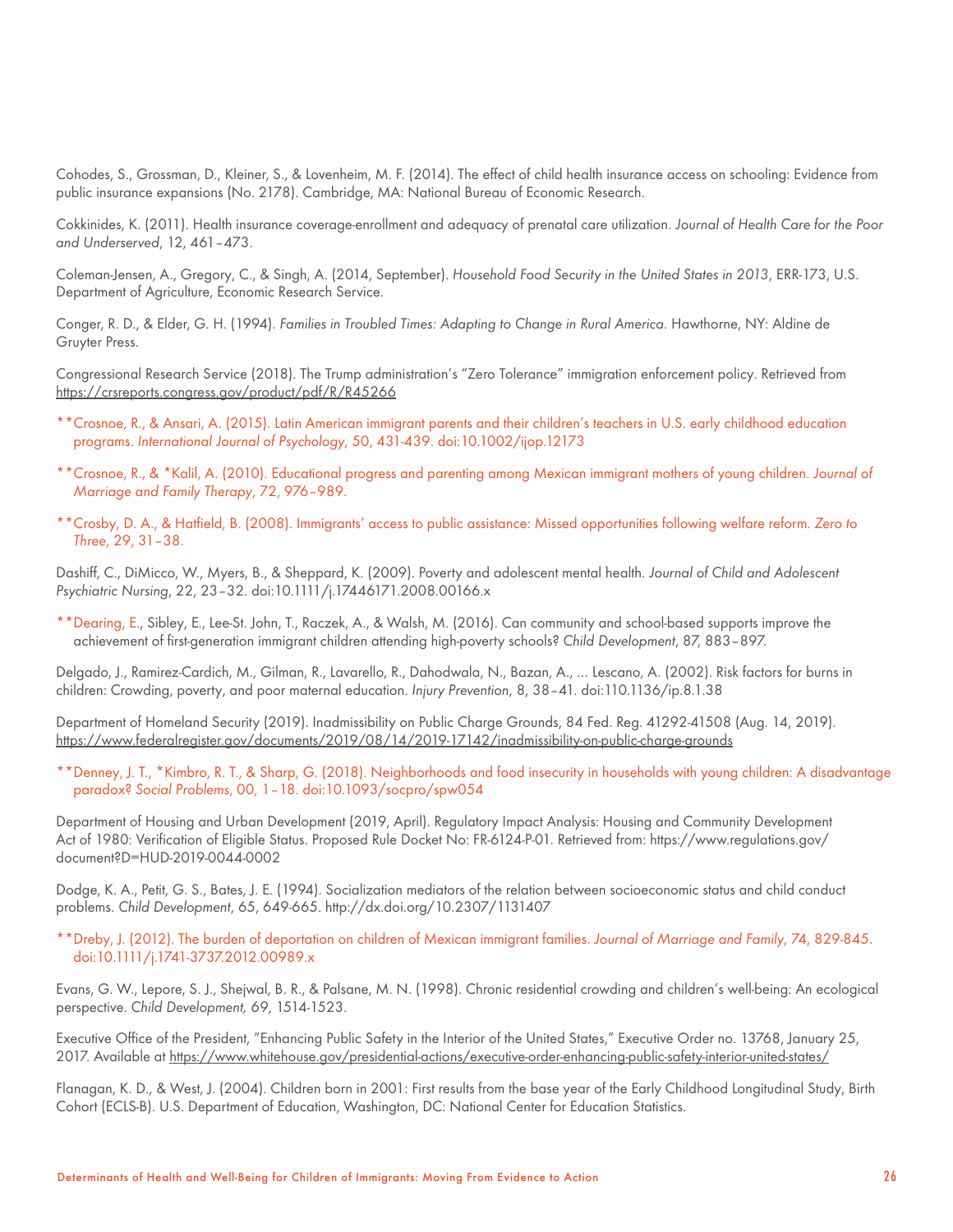Cohodes, S., Grossman, D., Kleiner, S., & Lovenheim, M. F. (2014). The effect of child health insurance access on schooling: Evidence from public insurance expansions (No. 2178). Cambridge, MA: National Bureau of Economic Research.

Cokkinides, K. (2011). Health insurance coverage-enrollment and adequacy of prenatal care utilization. *Journal of Health Care for the Poor and Underserved*, 12, 461–473.

Coleman-Jensen, A., Gregory, C., & Singh, A. (2014, September). *Household Food Security in the United States in 2013*, ERR-173, U.S. Department of Agriculture, Economic Research Service.

Conger, R. D., & Elder, G. H. (1994). *Families in Troubled Times: Adapting to Change in Rural America*. Hawthorne, NY: Aldine de Gruyter Press.

Congressional Research Service (2018). The Trump administration's "Zero Tolerance" immigration enforcement policy. Retrieved from <https://crsreports.congress.gov/product/pdf/R/R45266>

- \*\*Crosnoe, R., & Ansari, A. (2015). Latin American immigrant parents and their children's teachers in U.S. early childhood education programs. *International Journal of Psychology*, 50, 431-439. doi:10.1002/ijop.12173
- \*\*Crosnoe, R., & \*Kalil, A. (2010). Educational progress and parenting among Mexican immigrant mothers of young children. *Journal of Marriage and Family Therapy*, 72, 976–989.
- \*\*Crosby, D. A., & Hatfield, B. (2008). Immigrants' access to public assistance: Missed opportunities following welfare reform. *Zero to Three*, 29, 31–38.

Dashiff, C., DiMicco, W., Myers, B., & Sheppard, K. (2009). Poverty and adolescent mental health. *Journal of Child and Adolescent Psychiatric Nursing*, 22, 23–32. doi:10.1111/j.17446171.2008.00166.x

\*\*Dearing, E., Sibley, E., Lee-St. John, T., Raczek, A., & Walsh, M. (2016). Can community and school-based supports improve the achievement of first-generation immigrant children attending high-poverty schools? *Child Development*, 87, 883–897.

Delgado, J., Ramirez-Cardich, M., Gilman, R., Lavarello, R., Dahodwala, N., Bazan, A., … Lescano, A. (2002). Risk factors for burns in children: Crowding, poverty, and poor maternal education. *Injury Prevention*, 8, 38–41. doi:110.1136/ip.8.1.38

Department of Homeland Security (2019). Inadmissibility on Public Charge Grounds, 84 Fed. Reg. 41292-41508 (Aug. 14, 2019). [https://www.federalregister.gov/documents/2019/08/14/2019-17142/inadmissibility-on-public-charge-grounds](https://www.federalregister.gov/documents/2019/08/14/2019-17142/inadmissibility-on-public-charge-gro)

\*\*Denney, J. T., \*Kimbro, R. T., & Sharp, G. (2018). Neighborhoods and food insecurity in households with young children: A disadvantage paradox? *Social Problems*, 00, 1–18. doi:10.1093/socpro/spw054

Department of Housing and Urban Development (2019, April). Regulatory Impact Analysis: Housing and Community Development Act of 1980: Verification of Eligible Status. Proposed Rule Docket No: FR-6124-P-01. Retrieved from: https://www.regulations.gov/ document?D=HUD-2019-0044-0002

Dodge, K. A., Petit, G. S., Bates, J. E. (1994). Socialization mediators of the relation between socioeconomic status and child conduct problems. *Child Development*, 65, 649-665. http://dx.doi.org/10.2307/1131407

\*\*Dreby, J. (2012). The burden of deportation on children of Mexican immigrant families. *Journal of Marriage and Family*, 74, 829-845. doi:10.1111/j.1741-3737.2012.00989.x

Evans, G. W., Lepore, S. J., Shejwal, B. R., & Palsane, M. N. (1998). Chronic residential crowding and children's well-being: An ecological perspective. *Child Development, 69*, 1514-1523.

Executive Office of the President, "Enhancing Public Safety in the Interior of the United States," Executive Order no. 13768, January 25, 2017. Available at [https://www.whitehouse.gov/presidential-actions/executive-order-enhancing-public-safety-interior-united-states/](https://www.whitehouse.gov/presidential-actions/executive-order-enhancing-public-safety-interior-uni)

Flanagan, K. D., & West, J. (2004). Children born in 2001: First results from the base year of the Early Childhood Longitudinal Study, Birth Cohort (ECLS-B). U.S. Department of Education, Washington, DC: National Center for Education Statistics.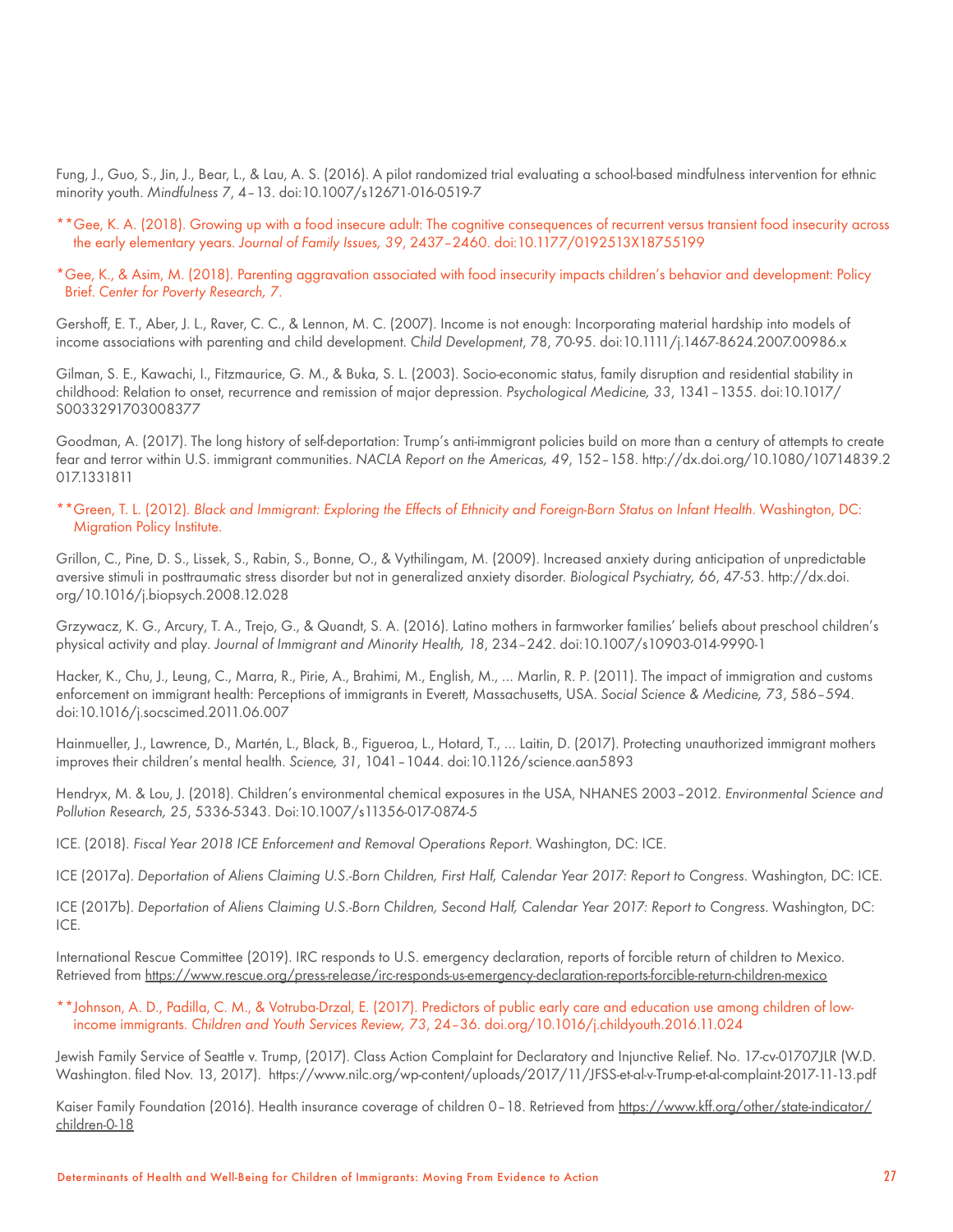Fung, J., Guo, S., Jin, J., Bear, L., & Lau, A. S. (2016). A pilot randomized trial evaluating a school-based mindfulness intervention for ethnic minority youth. *Mindfulness 7*, 4–13. doi:10.1007/s12671-016-0519-7

- \*\*Gee, K. A. (2018). Growing up with a food insecure adult: The cognitive consequences of recurrent versus transient food insecurity across the early elementary years. *Journal of Family Issues, 39*, 2437–2460. doi:10.1177/0192513X18755199
- \*Gee, K., & Asim, M. (2018). Parenting aggravation associated with food insecurity impacts children's behavior and development: Policy Brief. *Center for Poverty Research, 7*.

Gershoff, E. T., Aber, J. L., Raver, C. C., & Lennon, M. C. (2007). Income is not enough: Incorporating material hardship into models of income associations with parenting and child development. *Child Development*, 78, 70-95. doi:10.1111/j.1467-8624.2007.00986.x

Gilman, S. E., Kawachi, I., Fitzmaurice, G. M., & Buka, S. L. (2003). Socio-economic status, family disruption and residential stability in childhood: Relation to onset, recurrence and remission of major depression. *Psychological Medicine, 33*, 1341–1355. doi:10.1017/ S0033291703008377

Goodman, A. (2017). The long history of self-deportation: Trump's anti-immigrant policies build on more than a century of attempts to create fear and terror within U.S. immigrant communities. *NACLA Report on the Americas, 49*, 152–158. http://dx.doi.org/10.1080/10714839.2 017.1331811

\*\*Green, T. L. (2012). *Black and Immigrant: Exploring the Effects of Ethnicity and Foreign-Born Status on Infant Health*. Washington, DC: Migration Policy Institute.

Grillon, C., Pine, D. S., Lissek, S., Rabin, S., Bonne, O., & Vythilingam, M. (2009). Increased anxiety during anticipation of unpredictable aversive stimuli in posttraumatic stress disorder but not in generalized anxiety disorder. *Biological Psychiatry, 66*, 47-53. http://dx.doi. org/10.1016/j.biopsych.2008.12.028

Grzywacz, K. G., Arcury, T. A., Trejo, G., & Quandt, S. A. (2016). Latino mothers in farmworker families' beliefs about preschool children's physical activity and play. *Journal of Immigrant and Minority Health, 18*, 234–242. doi:10.1007/s10903-014-9990-1

Hacker, K., Chu, J., Leung, C., Marra, R., Pirie, A., Brahimi, M., English, M., … Marlin, R. P. (2011). The impact of immigration and customs enforcement on immigrant health: Perceptions of immigrants in Everett, Massachusetts, USA. *Social Science & Medicine, 73*, 586–594. doi:10.1016/j.socscimed.2011.06.007

Hainmueller, J., Lawrence, D., Martén, L., Black, B., Figueroa, L., Hotard, T., … Laitin, D. (2017). Protecting unauthorized immigrant mothers improves their children's mental health. *Science, 31*, 1041–1044. doi:10.1126/science.aan5893

Hendryx, M. & Lou, J. (2018). Children's environmental chemical exposures in the USA, NHANES 2003–2012. *Environmental Science and Pollution Research, 25*, 5336-5343. Doi:10.1007/s11356-017-0874-5

ICE. (2018). *Fiscal Year 2018 ICE Enforcement and Removal Operations Report*. Washington, DC: ICE.

ICE (2017a). *Deportation of Aliens Claiming U.S.-Born Children, First Half, Calendar Year 2017: Report to Congress.* Washington, DC: ICE.

ICE (2017b). *Deportation of Aliens Claiming U.S.-Born Children, Second Half, Calendar Year 2017: Report to Congress*. Washington, DC: ICE.

International Rescue Committee (2019). IRC responds to U.S. emergency declaration, reports of forcible return of children to Mexico. Retrieved from [https://www.rescue.org/press-release/irc-responds-us-emergency-declaration-reports-forcible-return-children-mexico](https://www.rescue.org/press-release/irc-responds-us-emergency-declaration-reports-forcible-return-c)

\*\*Johnson, A. D., Padilla, C. M., & Votruba-Drzal, E. (2017). Predictors of public early care and education use among children of lowincome immigrants. *Children and Youth Services Review, 73*, 24–36. doi.org/10.1016/j.childyouth.2016.11.024

Jewish Family Service of Seattle v. Trump, (2017). Class Action Complaint for Declaratory and Injunctive Relief. No. 17-cv-01707JLR (W.D. Washington. filed Nov. 13, 2017). https://www.nilc.org/wp-content/uploads/2017/11/JFSS-et-al-v-Trump-et-al-complaint-2017-11-13.pdf

Kaiser Family Foundation (2016). Health insurance coverage of children 0–18. Retrieved from [https://www.kff.org/other/state-indicator/](https://www.kff.org/other/state-indicator/children-0-18) [children-0-18](https://www.kff.org/other/state-indicator/children-0-18)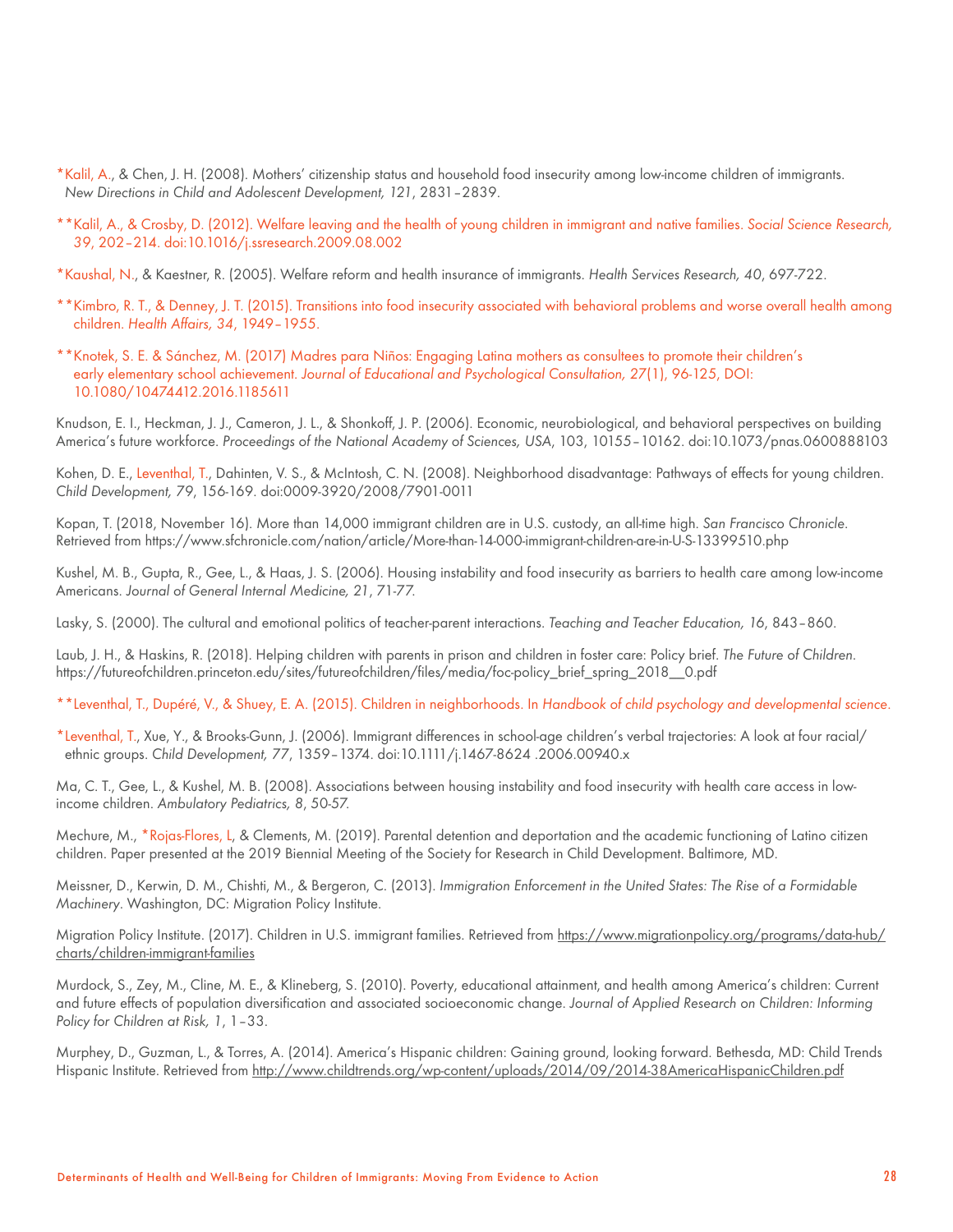- \*Kalil, A., & Chen, J. H. (2008). Mothers' citizenship status and household food insecurity among low-income children of immigrants. *New Directions in Child and Adolescent Development, 121*, 2831–2839.
- \*\*Kalil, A., & Crosby, D. (2012). Welfare leaving and the health of young children in immigrant and native families. *Social Science Research, 39*, 202–214. doi:10.1016/j.ssresearch.2009.08.002

\*Kaushal, N., & Kaestner, R. (2005). Welfare reform and health insurance of immigrants. *Health Services Research, 40*, 697-722.

- \*\*Kimbro, R. T., & Denney, J. T. (2015). Transitions into food insecurity associated with behavioral problems and worse overall health among children. *Health Affairs, 34*, 1949–1955.
- \*\*Knotek, S. E. & Sánchez, M. (2017) Madres para Niños: Engaging Latina mothers as consultees to promote their children's early elementary school achievement. *Journal of Educational and Psychological Consultation, 27*(1), 96-125, DOI: 10.1080/10474412.2016.1185611

Knudson, E. I., Heckman, J. J., Cameron, J. L., & Shonkoff, J. P. (2006). Economic, neurobiological, and behavioral perspectives on building America's future workforce. *Proceedings of the National Academy of Sciences, USA*, 103, 10155–10162. doi:10.1073/pnas.0600888103

Kohen, D. E., Leventhal, T., Dahinten, V. S., & McIntosh, C. N. (2008). Neighborhood disadvantage: Pathways of effects for young children. *Child Development, 79*, 156-169. doi:0009-3920/2008/7901-0011

Kopan, T. (2018, November 16). More than 14,000 immigrant children are in U.S. custody, an all-time high. *San Francisco Chronicle*. Retrieved from https://www.sfchronicle.com/nation/article/More-than-14-000-immigrant-children-are-in-U-S-13399510.php

Kushel, M. B., Gupta, R., Gee, L., & Haas, J. S. (2006). Housing instability and food insecurity as barriers to health care among low-income Americans. *Journal of General Internal Medicine, 21*, 71-77.

Lasky, S. (2000). The cultural and emotional politics of teacher-parent interactions. *Teaching and Teacher Education, 16*, 843–860.

Laub, J. H., & Haskins, R. (2018). Helping children with parents in prison and children in foster care: Policy brief. *The Future of Children*. https://futureofchildren.princeton.edu/sites/futureofchildren/files/media/foc-policy\_brief\_spring\_2018\_\_0.pdf

\*\*Leventhal, T., Dupéré, V., & Shuey, E. A. (2015). Children in neighborhoods. In *Handbook of child psychology and developmental science*.

\*Leventhal, T., Xue, Y., & Brooks-Gunn, J. (2006). Immigrant differences in school-age children's verbal trajectories: A look at four racial/ ethnic groups. *Child Development, 77*, 1359–1374. doi:10.1111/j.1467-8624 .2006.00940.x

Ma, C. T., Gee, L., & Kushel, M. B. (2008). Associations between housing instability and food insecurity with health care access in lowincome children. *Ambulatory Pediatrics, 8*, 50-57.

Mechure, M., \*Rojas-Flores, L, & Clements, M. (2019). Parental detention and deportation and the academic functioning of Latino citizen children. Paper presented at the 2019 Biennial Meeting of the Society for Research in Child Development. Baltimore, MD.

Meissner, D., Kerwin, D. M., Chishti, M., & Bergeron, C. (2013). *Immigration Enforcement in the United States: The Rise of a Formidable Machinery*. Washington, DC: Migration Policy Institute.

Migration Policy Institute. (2017). Children in U.S. immigrant families. Retrieved from [https://www.migrationpolicy.org/programs/data-hub/](https://www.migrationpolicy.org/programs/data-hub/charts/children-immigrant-families) [charts/children-immigrant-families](https://www.migrationpolicy.org/programs/data-hub/charts/children-immigrant-families)

Murdock, S., Zey, M., Cline, M. E., & Klineberg, S. (2010). Poverty, educational attainment, and health among America's children: Current and future effects of population diversification and associated socioeconomic change. *Journal of Applied Research on Children: Informing Policy for Children at Risk, 1*, 1–33.

Murphey, D., Guzman, L., & Torres, A. (2014). America's Hispanic children: Gaining ground, looking forward. Bethesda, MD: Child Trends Hispanic Institute. Retrieved from<http://www.childtrends.org/wp-content/uploads/2014/09/2014-38AmericaHispanicChildren.pdf>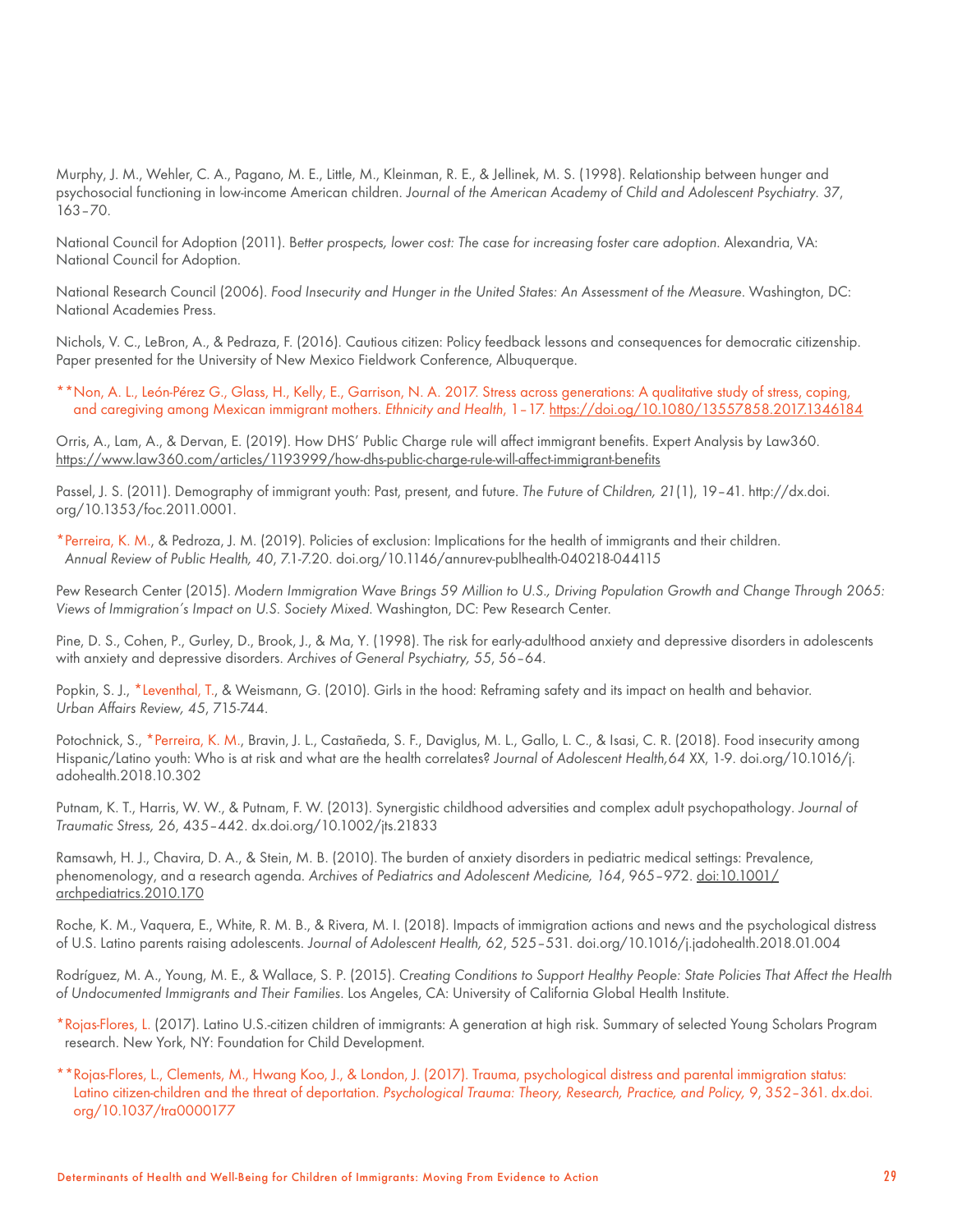Murphy, J. M., Wehler, C. A., Pagano, M. E., Little, M., Kleinman, R. E., & Jellinek, M. S. (1998). Relationship between hunger and psychosocial functioning in low-income American children. *Journal of the American Academy of Child and Adolescent Psychiatry. 37*, 163–70.

National Council for Adoption (2011). B*etter prospects, lower cost: The case for increasing foster care adoption*. Alexandria, VA: National Council for Adoption.

National Research Council (2006). *Food Insecurity and Hunger in the United States: An Assessment of the Measure*. Washington, DC: National Academies Press.

Nichols, V. C., LeBron, A., & Pedraza, F. (2016). Cautious citizen: Policy feedback lessons and consequences for democratic citizenship. Paper presented for the University of New Mexico Fieldwork Conference, Albuquerque.

\*\*Non, A. L., León-Pérez G., Glass, H., Kelly, E., Garrison, N. A. 2017. Stress across generations: A qualitative study of stress, coping, and caregiving among Mexican immigrant mothers. *Ethnicity and Health*, 1–17.<https://doi.og/10.1080/13557858.2017.1346184>

Orris, A., Lam, A., & Dervan, E. (2019). How DHS' Public Charge rule will affect immigrant benefits. Expert Analysis by Law360. <https://www.law360.com/articles/1193999/how-dhs-public-charge-rule-will-affect-immigrant-benefits>

Passel, J. S. (2011). Demography of immigrant youth: Past, present, and future. *The Future of Children, 21*(1), 19–41. http://dx.doi. org/10.1353/foc.2011.0001.

\*Perreira, K. M., & Pedroza, J. M. (2019). Policies of exclusion: Implications for the health of immigrants and their children. *Annual Review of Public Health, 40*, 7.1-7.20. doi.org/10.1146/annurev-publhealth-040218-044115

Pew Research Center (2015). *Modern Immigration Wave Brings 59 Million to U.S., Driving Population Growth and Change Through 2065: Views of Immigration's Impact on U.S. Society Mixed*. Washington, DC: Pew Research Center.

Pine, D. S., Cohen, P., Gurley, D., Brook, J., & Ma, Y. (1998). The risk for early-adulthood anxiety and depressive disorders in adolescents with anxiety and depressive disorders. *Archives of General Psychiatry, 55*, 56–64.

Popkin, S. J., \*Leventhal, T., & Weismann, G. (2010). Girls in the hood: Reframing safety and its impact on health and behavior. *Urban Affairs Review, 45*, 715-744.

Potochnick, S., \*Perreira, K. M., Bravin, J. L., Castañeda, S. F., Daviglus, M. L., Gallo, L. C., & Isasi, C. R. (2018). Food insecurity among Hispanic/Latino youth: Who is at risk and what are the health correlates? *Journal of Adolescent Health,64* XX, 1-9. doi.org/10.1016/j. adohealth.2018.10.302

Putnam, K. T., Harris, W. W., & Putnam, F. W. (2013). Synergistic childhood adversities and complex adult psychopathology. *Journal of Traumatic Stress, 26*, 435–442. dx.doi.org/10.1002/jts.21833

Ramsawh, H. J., Chavira, D. A., & Stein, M. B. (2010). The burden of anxiety disorders in pediatric medical settings: Prevalence, phenomenology, and a research agenda. *Archives of Pediatrics and Adolescent Medicine, 164*, 965–972. [doi:10.1001/](https://www.jahonline.org/article/S1054-139X(18)30054-5/fulltext) [archpediatrics.2010.170](https://www.jahonline.org/article/S1054-139X(18)30054-5/fulltext)

Roche, K. M., Vaquera, E., White, R. M. B., & Rivera, M. I. (2018). Impacts of immigration actions and news and the psychological distress of U.S. Latino parents raising adolescents. *Journal of Adolescent Health, 62*, 525–531. doi.org/10.1016/j.jadohealth.2018.01.004

Rodríguez, M. A., Young, M. E., & Wallace, S. P. (2015). *Creating Conditions to Support Healthy People: State Policies That Affect the Health of Undocumented Immigrants and Their Families*. Los Angeles, CA: University of California Global Health Institute.

\*Rojas-Flores, L. (2017). Latino U.S.-citizen children of immigrants: A generation at high risk. Summary of selected Young Scholars Program research. New York, NY: Foundation for Child Development.

\*\*Rojas-Flores, L., Clements, M., Hwang Koo, J., & London, J. (2017). Trauma, psychological distress and parental immigration status: Latino citizen-children and the threat of deportation. *Psychological Trauma: Theory, Research, Practice, and Policy, 9*, 352–361. dx.doi. org/10.1037/tra0000177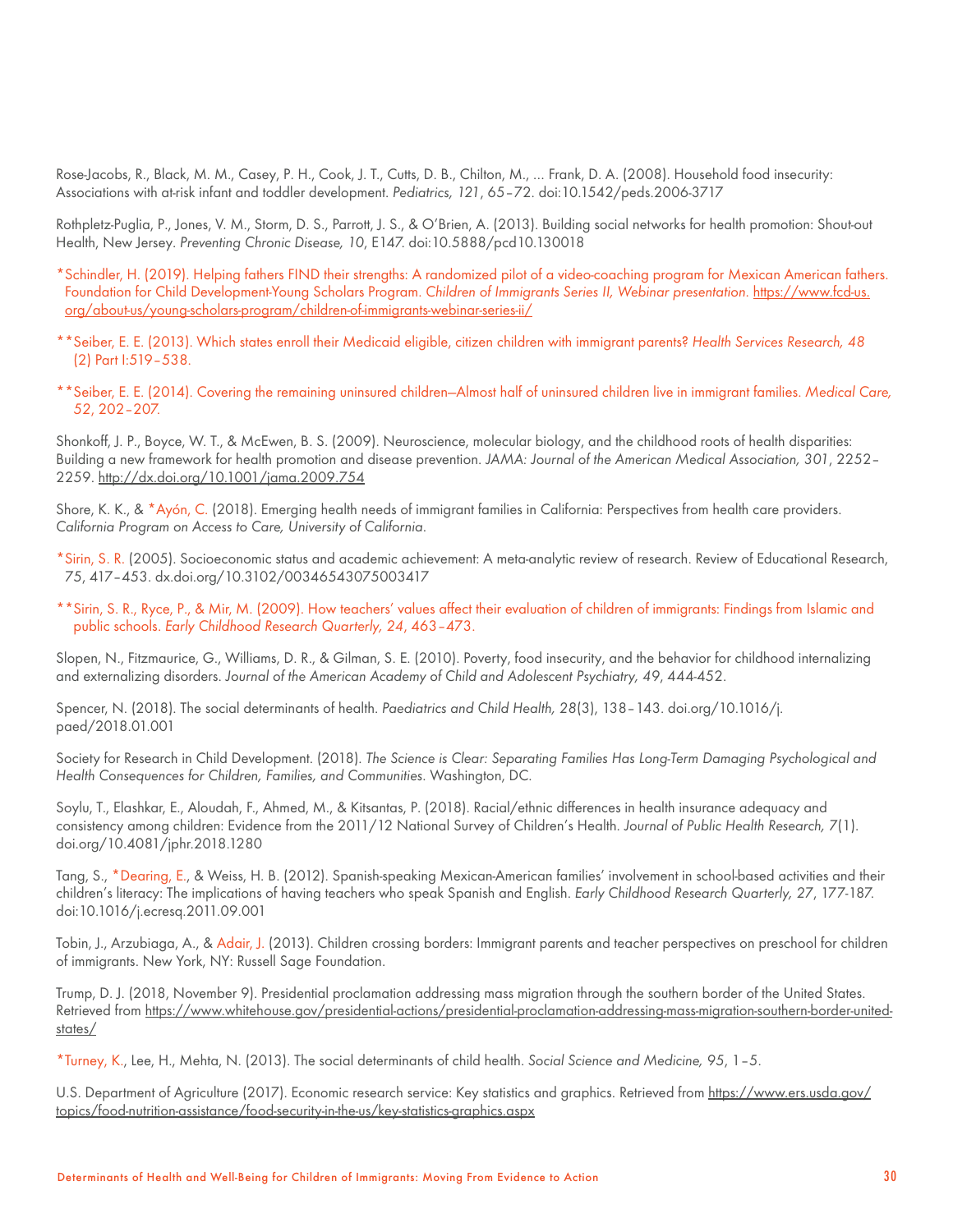Rose-Jacobs, R., Black, M. M., Casey, P. H., Cook, J. T., Cutts, D. B., Chilton, M., … Frank, D. A. (2008). Household food insecurity: Associations with at-risk infant and toddler development. *Pediatrics, 121*, 65–72. doi:10.1542/peds.2006-3717

Rothpletz-Puglia, P., Jones, V. M., Storm, D. S., Parrott, J. S., & O'Brien, A. (2013). Building social networks for health promotion: Shout-out Health, New Jersey. *Preventing Chronic Disease, 10*, E147. doi:10.5888/pcd10.130018

- \*Schindler, H. (2019). Helping fathers FIND their strengths: A randomized pilot of a video-coaching program for Mexican American fathers. Foundation for Child Development-Young Scholars Program. *Children of Immigrants Series II, Webinar presentation*. [https://www.fcd-us.](https://www.fcd-us.org/about-us/young-scholars-program/children-of-immigrants-webinar-series-ii/) [org/about-us/young-scholars-program/children-of-immigrants-webinar-series-ii/](https://www.fcd-us.org/about-us/young-scholars-program/children-of-immigrants-webinar-series-ii/)
- \*\*Seiber, E. E. (2013). Which states enroll their Medicaid eligible, citizen children with immigrant parents? *Health Services Research, 48* (2) Part I:519–538.
- \*\*Seiber, E. E. (2014). Covering the remaining uninsured children—Almost half of uninsured children live in immigrant families. *Medical Care, 52*, 202–207.

Shonkoff, J. P., Boyce, W. T., & McEwen, B. S. (2009). Neuroscience, molecular biology, and the childhood roots of health disparities: Building a new framework for health promotion and disease prevention. *JAMA: Journal of the American Medical Association, 301*, 2252– 2259.<http://dx.doi.org/10.1001/jama.2009.754>

Shore, K. K., & \*Ayón, C. (2018). Emerging health needs of immigrant families in California: Perspectives from health care providers. *California Program on Access to Care, University of California*.

\*Sirin, S. R. (2005). Socioeconomic status and academic achievement: A meta-analytic review of research. Review of Educational Research, 75, 417–453. dx.doi.org/10.3102/00346543075003417

\*\*Sirin, S. R., Ryce, P., & Mir, M. (2009). How teachers' values affect their evaluation of children of immigrants: Findings from Islamic and public schools. *Early Childhood Research Quarterly, 24*, 463–473.

Slopen, N., Fitzmaurice, G., Williams, D. R., & Gilman, S. E. (2010). Poverty, food insecurity, and the behavior for childhood internalizing and externalizing disorders. *Journal of the American Academy of Child and Adolescent Psychiatry, 49*, 444-452.

Spencer, N. (2018). The social determinants of health. *Paediatrics and Child Health, 28*(3), 138–143. doi.org/10.1016/j. paed/2018.01.001

Society for Research in Child Development. (2018). *The Science is Clear: Separating Families Has Long-Term Damaging Psychological and Health Consequences for Children, Families, and Communities*. Washington, DC.

Soylu, T., Elashkar, E., Aloudah, F., Ahmed, M., & Kitsantas, P. (2018). Racial/ethnic differences in health insurance adequacy and consistency among children: Evidence from the 2011/12 National Survey of Children's Health. *Journal of Public Health Research, 7*(1). doi.org/10.4081/jphr.2018.1280

Tang, S., \*Dearing, E., & Weiss, H. B. (2012). Spanish-speaking Mexican-American families' involvement in school-based activities and their children's literacy: The implications of having teachers who speak Spanish and English. *Early Childhood Research Quarterly, 27*, 177-187. doi:10.1016/j.ecresq.2011.09.001

Tobin, J., Arzubiaga, A., & Adair, J. (2013). Children crossing borders: Immigrant parents and teacher perspectives on preschool for children of immigrants. New York, NY: Russell Sage Foundation.

Trump, D. J. (2018, November 9). Presidential proclamation addressing mass migration through the southern border of the United States. Retrieved from [https://www.whitehouse.gov/presidential-actions/presidential-proclamation-addressing-mass-migration-southern-border-united](https://www.whitehouse.gov/presidential-actions/presidential-proclamation-addressing-mass-migration-)[states/](https://www.whitehouse.gov/presidential-actions/presidential-proclamation-addressing-mass-migration-)

\*Turney, K., Lee, H., Mehta, N. (2013). The social determinants of child health. *Social Science and Medicine, 95*, 1–5.

U.S. Department of Agriculture (2017). Economic research service: Key statistics and graphics. Retrieved from [https://www.ers.usda.gov/](https://www.ers.usda.gov/topics/food-nutrition-assistance/food-security-in-the-us/key-statistics-gra) [topics/food-nutrition-assistance/food-security-in-the-us/key-statistics-graphics.aspx](https://www.ers.usda.gov/topics/food-nutrition-assistance/food-security-in-the-us/key-statistics-gra)